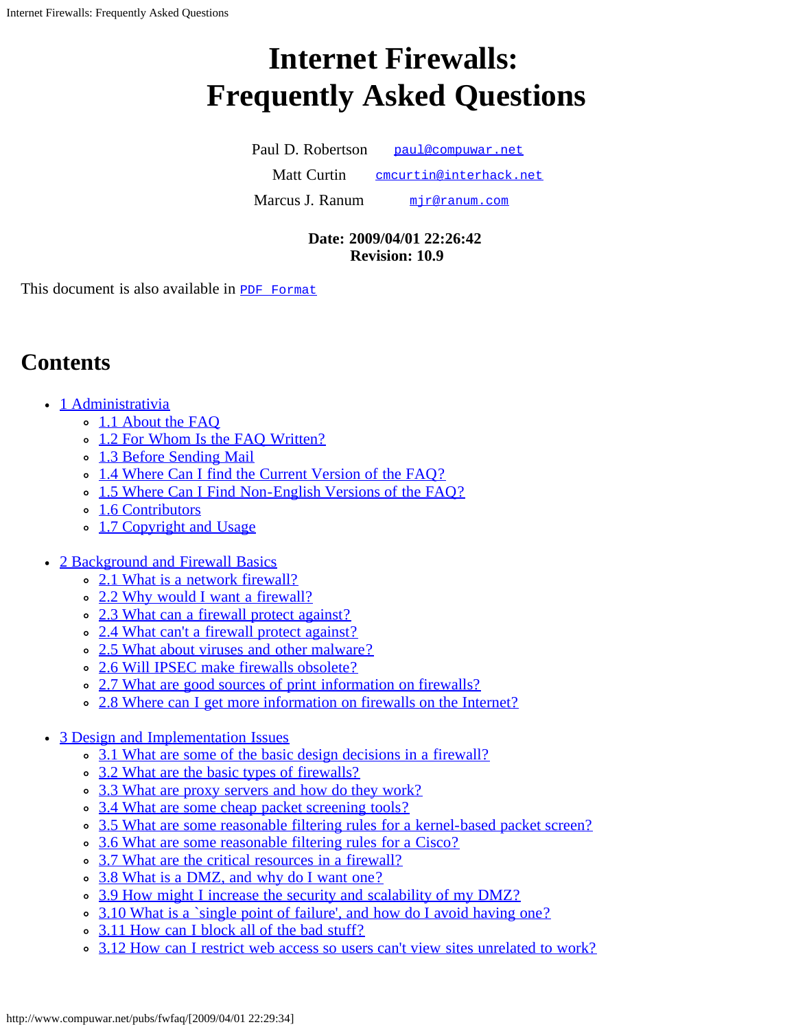Paul D. Robertson [paul@compuwar.net](mailto:paul@compuwar.net) Matt Curtin [cmcurtin@interhack.net](mailto:cmcurtin@interhack.net) Marcus J. Ranum [mjr@ranum.com](mailto:mjr@ranum.com)

**Date: 2009/04/01 22:26:42** 

**Revision: 10.9**

<span id="page-0-0"></span>This document is also available in [PDF Format](http://www.compuwar.net/pubs/fwfaq/firewalls-faq.pdf)

## **Contents**

- [1 Administrativia](http://www.compuwar.net/pubs/fwfaq/firewalls-faq.html)
	- <sup>o</sup> 1.1 About the FAO
	- o 1.2 For Whom Is the FAO Written?
	- [1.3 Before Sending Mail](http://www.compuwar.net/pubs/fwfaq/firewalls-faq.html#SECTION00023000000000000000)
	- o 1.4 Where Can I find the Current Version of the FAO?
	- o [1.5 Where Can I Find Non-English Versions of the FAQ?](http://www.compuwar.net/pubs/fwfaq/firewalls-faq.html#SECTION00025000000000000000)
	- $\circ$  [1.6 Contributors](http://www.compuwar.net/pubs/fwfaq/firewalls-faq.html#SECTION00026000000000000000)
	- o [1.7 Copyright and Usage](http://www.compuwar.net/pubs/fwfaq/firewalls-faq.html#SECTION00027000000000000000)
- [2 Background and Firewall Basics](http://www.compuwar.net/pubs/fwfaq/firewalls-faq.html#SECTION00030000000000000000)
	- [2.1 What is a network firewall?](http://www.compuwar.net/pubs/fwfaq/firewalls-faq.html#SECTION00031000000000000000)
	- [2.2 Why would I want a firewall?](http://www.compuwar.net/pubs/fwfaq/firewalls-faq.html#SECTION00032000000000000000)
	- [2.3 What can a firewall protect against?](http://www.compuwar.net/pubs/fwfaq/firewalls-faq.html#SECTION00033000000000000000)
	- o [2.4 What can't a firewall protect against?](http://www.compuwar.net/pubs/fwfaq/firewalls-faq.html#SECTION00034000000000000000)
	- [2.5 What about viruses and other malware?](http://www.compuwar.net/pubs/fwfaq/firewalls-faq.html#SECTION00035000000000000000)
	- [2.6 Will IPSEC make firewalls obsolete?](http://www.compuwar.net/pubs/fwfaq/firewalls-faq.html#SECTION00036000000000000000)
	- [2.7 What are good sources of print information on firewalls?](http://www.compuwar.net/pubs/fwfaq/firewalls-faq.html#SECTION00037000000000000000)
	- <sup>o</sup> [2.8 Where can I get more information on firewalls on the Internet?](http://www.compuwar.net/pubs/fwfaq/firewalls-faq.html#SECTION00038000000000000000)
- [3 Design and Implementation Issues](http://www.compuwar.net/pubs/fwfaq/firewalls-faq.html#SECTION00040000000000000000)
	- <sup>o</sup> [3.1 What are some of the basic design decisions in a firewall?](http://www.compuwar.net/pubs/fwfaq/firewalls-faq.html#SECTION00041000000000000000)
	- [3.2 What are the basic types of firewalls?](http://www.compuwar.net/pubs/fwfaq/firewalls-faq.html#SECTION00042000000000000000)
	- <sup>o</sup> [3.3 What are proxy servers and how do they work?](http://www.compuwar.net/pubs/fwfaq/firewalls-faq.html#SECTION00043000000000000000)
	- <sup>o</sup> [3.4 What are some cheap packet screening tools?](http://www.compuwar.net/pubs/fwfaq/firewalls-faq.html#SECTION00044000000000000000)
	- [3.5 What are some reasonable filtering rules for a kernel-based packet screen?](http://www.compuwar.net/pubs/fwfaq/firewalls-faq.html#SECTION00045000000000000000)
	- <sup>o</sup> [3.6 What are some reasonable filtering rules for a Cisco?](http://www.compuwar.net/pubs/fwfaq/firewalls-faq.html#SECTION00046000000000000000)
	- [3.7 What are the critical resources in a firewall?](http://www.compuwar.net/pubs/fwfaq/firewalls-faq.html#SECTION00047000000000000000)
	- <sup>o</sup> [3.8 What is a DMZ, and why do I want one?](http://www.compuwar.net/pubs/fwfaq/firewalls-faq.html#SECTION00048000000000000000)
	- <sup>o</sup> [3.9 How might I increase the security and scalability of my DMZ?](http://www.compuwar.net/pubs/fwfaq/firewalls-faq.html#SECTION00049000000000000000)
	- <sup>3</sup>.10 What is a `single point of failure', and how do I avoid having one?
	- <sup>o</sup> [3.11 How can I block all of the bad stuff?](http://www.compuwar.net/pubs/fwfaq/firewalls-faq.html#SECTION000411000000000000000)
	- [3.12 How can I restrict web access so users can't view sites unrelated to work?](http://www.compuwar.net/pubs/fwfaq/firewalls-faq.html#SECTION000412000000000000000)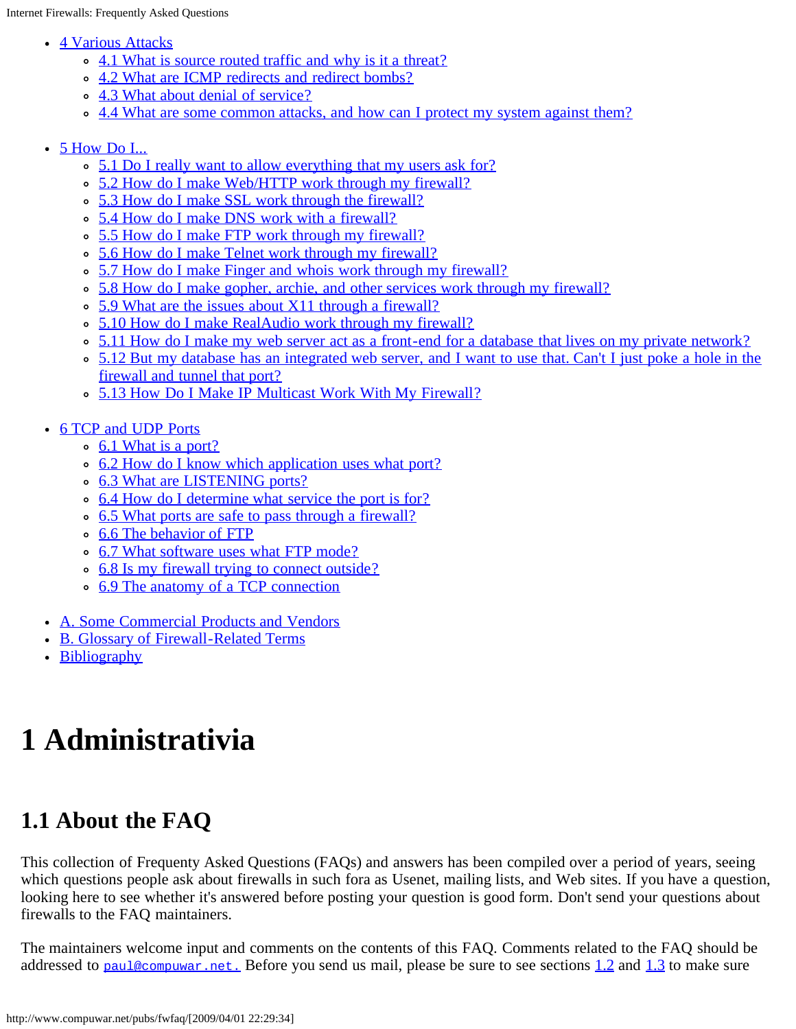- [4 Various Attacks](http://www.compuwar.net/pubs/fwfaq/firewalls-faq.html#SECTION00050000000000000000)
	- <sup>o</sup> [4.1 What is source routed traffic and why is it a threat?](http://www.compuwar.net/pubs/fwfaq/firewalls-faq.html#SECTION00051000000000000000)
	- <sup>o</sup> [4.2 What are ICMP redirects and redirect bombs?](http://www.compuwar.net/pubs/fwfaq/firewalls-faq.html#SECTION00052000000000000000)
	- [4.3 What about denial of service?](http://www.compuwar.net/pubs/fwfaq/firewalls-faq.html#SECTION00053000000000000000)
	- <sup>o</sup> [4.4 What are some common attacks, and how can I protect my system against them?](http://www.compuwar.net/pubs/fwfaq/firewalls-faq.html#SECTION00054000000000000000)

### [5 How Do I...](http://www.compuwar.net/pubs/fwfaq/firewalls-faq.html#SECTION00060000000000000000)

- [5.1 Do I really want to allow everything that my users ask for?](http://www.compuwar.net/pubs/fwfaq/firewalls-faq.html#SECTION00061000000000000000)
- <sup>o</sup> [5.2 How do I make Web/HTTP work through my firewall?](http://www.compuwar.net/pubs/fwfaq/firewalls-faq.html#SECTION00062000000000000000)
- <sup>o</sup> [5.3 How do I make SSL work through the firewall?](http://www.compuwar.net/pubs/fwfaq/firewalls-faq.html#SECTION00063000000000000000)
- <sup>o</sup> [5.4 How do I make DNS work with a firewall?](http://www.compuwar.net/pubs/fwfaq/firewalls-faq.html#SECTION00064000000000000000)
- <sup>o</sup> [5.5 How do I make FTP work through my firewall?](http://www.compuwar.net/pubs/fwfaq/firewalls-faq.html#SECTION00065000000000000000)
- <sup>o</sup> [5.6 How do I make Telnet work through my firewall?](http://www.compuwar.net/pubs/fwfaq/firewalls-faq.html#SECTION00066000000000000000)
- <sup>o</sup> [5.7 How do I make Finger and whois work through my firewall?](http://www.compuwar.net/pubs/fwfaq/firewalls-faq.html#SECTION00067000000000000000)
- <sup>o</sup> [5.8 How do I make gopher, archie, and other services work through my firewall?](http://www.compuwar.net/pubs/fwfaq/firewalls-faq.html#SECTION00068000000000000000)
- [5.9 What are the issues about X11 through a firewall?](http://www.compuwar.net/pubs/fwfaq/firewalls-faq.html#SECTION00069000000000000000)
- [5.10 How do I make RealAudio work through my firewall?](http://www.compuwar.net/pubs/fwfaq/firewalls-faq.html#SECTION000610000000000000000)
- <sup>o</sup> [5.11 How do I make my web server act as a front-end for a database that lives on my private network?](http://www.compuwar.net/pubs/fwfaq/firewalls-faq.html#SECTION000611000000000000000)
- <sup>o</sup> [5.12 But my database has an integrated web server, and I want to use that. Can't I just poke a hole in the](http://www.compuwar.net/pubs/fwfaq/firewalls-faq.html#SECTION000612000000000000000) [firewall and tunnel that port?](http://www.compuwar.net/pubs/fwfaq/firewalls-faq.html#SECTION000612000000000000000)
- [5.13 How Do I Make IP Multicast Work With My Firewall?](http://www.compuwar.net/pubs/fwfaq/firewalls-faq.html#SECTION000613000000000000000)

### [6 TCP and UDP Ports](http://www.compuwar.net/pubs/fwfaq/firewalls-faq.html#SECTION00070000000000000000)

- [6.1 What is a port?](http://www.compuwar.net/pubs/fwfaq/firewalls-faq.html#SECTION00071000000000000000)
- [6.2 How do I know which application uses what port?](http://www.compuwar.net/pubs/fwfaq/firewalls-faq.html#SECTION00072000000000000000)
- <sup>o</sup> [6.3 What are LISTENING ports?](http://www.compuwar.net/pubs/fwfaq/firewalls-faq.html#SECTION00073000000000000000)
- [6.4 How do I determine what service the port is for?](http://www.compuwar.net/pubs/fwfaq/firewalls-faq.html#SECTION00074000000000000000)
- [6.5 What ports are safe to pass through a firewall?](http://www.compuwar.net/pubs/fwfaq/firewalls-faq.html#SECTION00075000000000000000)
- [6.6 The behavior of FTP](http://www.compuwar.net/pubs/fwfaq/firewalls-faq.html#SECTION00076000000000000000)
- [6.7 What software uses what FTP mode?](http://www.compuwar.net/pubs/fwfaq/firewalls-faq.html#SECTION00077000000000000000)
- <sup>o</sup> [6.8 Is my firewall trying to connect outside?](http://www.compuwar.net/pubs/fwfaq/firewalls-faq.html#SECTION00078000000000000000)
- [6.9 The anatomy of a TCP connection](http://www.compuwar.net/pubs/fwfaq/firewalls-faq.html#SECTION00079000000000000000)
- [A. Some Commercial Products and Vendors](http://www.compuwar.net/pubs/fwfaq/firewalls-faq.html#SECTION00080000000000000000)
- **[B. Glossary of Firewall-Related Terms](http://www.compuwar.net/pubs/fwfaq/firewalls-faq.html#SECTION00090000000000000000)**
- [Bibliography](http://www.compuwar.net/pubs/fwfaq/firewalls-faq.html#SECTION000100000000000000000)

# **1 Administrativia**

# **1.1 About the FAQ**

This collection of Frequenty Asked Questions (FAQs) and answers has been compiled over a period of years, seeing which questions people ask about firewalls in such fora as Usenet, mailing lists, and Web sites. If you have a question, looking here to see whether it's answered before posting your question is good form. Don't send your questions about firewalls to the FAQ maintainers.

The maintainers welcome input and comments on the contents of this FAQ. Comments related to the FAQ should be addressed to  $p$  aul@compuwar.net. Before you send us mail, please be sure to see sections [1.2](http://www.compuwar.net/pubs/fwfaq/firewalls-faq.html#sec:forwhom) and [1.3](http://www.compuwar.net/pubs/fwfaq/firewalls-faq.html#sec:before_mailing_us) to make sure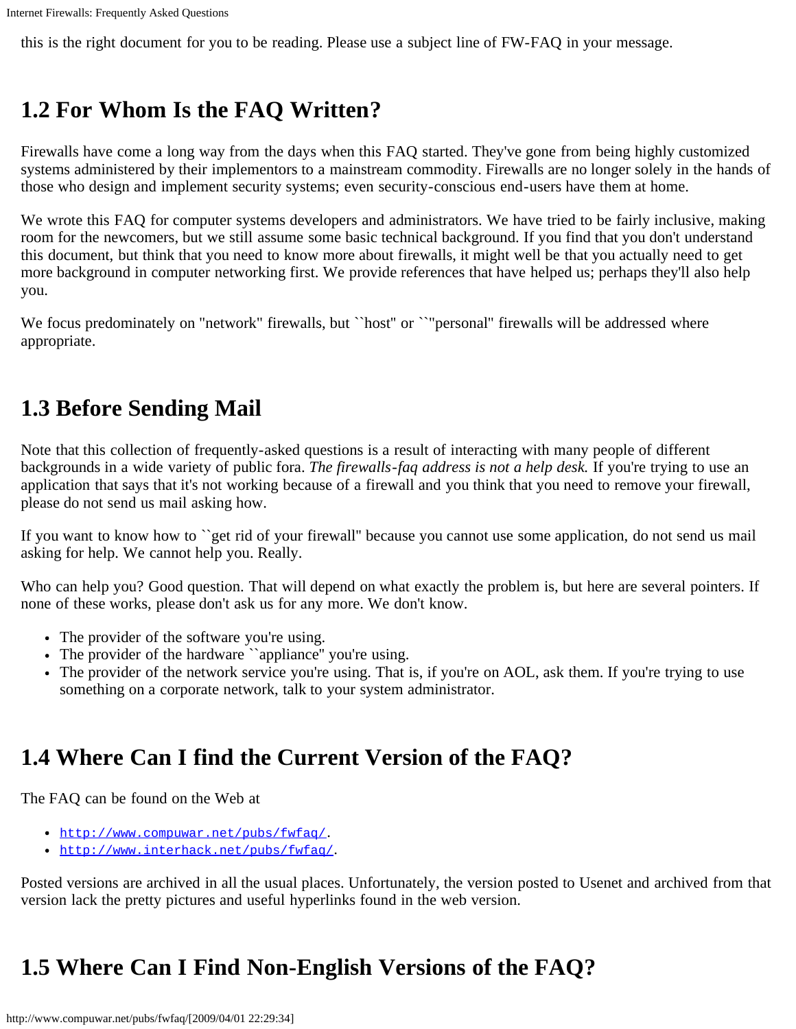this is the right document for you to be reading. Please use a subject line of FW-FAQ in your message.

# **1.2 For Whom Is the FAQ Written?**

Firewalls have come a long way from the days when this FAQ started. They've gone from being highly customized systems administered by their implementors to a mainstream commodity. Firewalls are no longer solely in the hands of those who design and implement security systems; even security-conscious end-users have them at home.

We wrote this FAQ for computer systems developers and administrators. We have tried to be fairly inclusive, making room for the newcomers, but we still assume some basic technical background. If you find that you don't understand this document, but think that you need to know more about firewalls, it might well be that you actually need to get more background in computer networking first. We provide references that have helped us; perhaps they'll also help you.

We focus predominately on "network" firewalls, but ``host" or ``"personal" firewalls will be addressed where appropriate.

## **1.3 Before Sending Mail**

Note that this collection of frequently-asked questions is a result of interacting with many people of different backgrounds in a wide variety of public fora. *The firewalls-faq address is not a help desk.* If you're trying to use an application that says that it's not working because of a firewall and you think that you need to remove your firewall, please do not send us mail asking how.

If you want to know how to ``get rid of your firewall'' because you cannot use some application, do not send us mail asking for help. We cannot help you. Really.

Who can help you? Good question. That will depend on what exactly the problem is, but here are several pointers. If none of these works, please don't ask us for any more. We don't know.

- The provider of the software you're using.
- The provider of the hardware ``appliance'' you're using.
- The provider of the network service you're using. That is, if you're on AOL, ask them. If you're trying to use something on a corporate network, talk to your system administrator.

## **1.4 Where Can I find the Current Version of the FAQ?**

The FAQ can be found on the Web at

- [http://www.compuwar.net/pubs/fwfaq/](#page-0-0).
- <http://www.interhack.net/pubs/fwfaq/>.

Posted versions are archived in all the usual places. Unfortunately, the version posted to Usenet and archived from that version lack the pretty pictures and useful hyperlinks found in the web version.

# **1.5 Where Can I Find Non-English Versions of the FAQ?**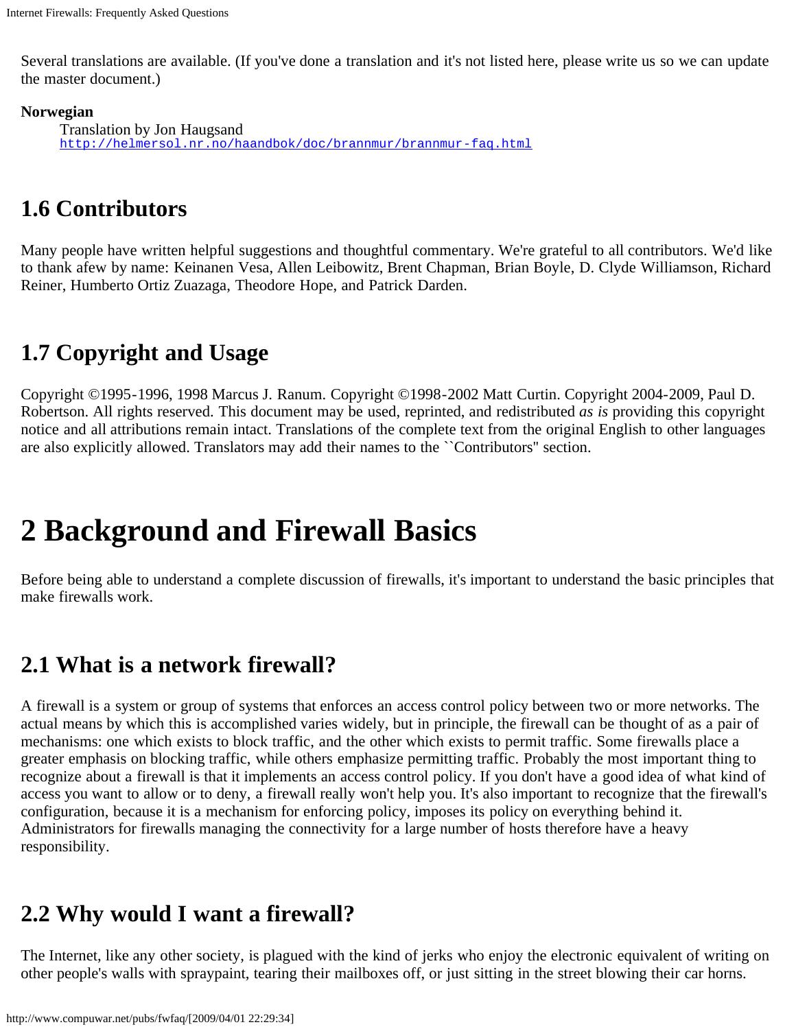Several translations are available. (If you've done a translation and it's not listed here, please write us so we can update the master document.)

#### **Norwegian**

Translation by Jon Haugsand <http://helmersol.nr.no/haandbok/doc/brannmur/brannmur-faq.html>

### **1.6 Contributors**

Many people have written helpful suggestions and thoughtful commentary. We're grateful to all contributors. We'd like to thank afew by name: Keinanen Vesa, Allen Leibowitz, Brent Chapman, Brian Boyle, D. Clyde Williamson, Richard Reiner, Humberto Ortiz Zuazaga, Theodore Hope, and Patrick Darden.

### **1.7 Copyright and Usage**

Copyright ©1995-1996, 1998 Marcus J. Ranum. Copyright ©1998-2002 Matt Curtin. Copyright 2004-2009, Paul D. Robertson. All rights reserved. This document may be used, reprinted, and redistributed *as is* providing this copyright notice and all attributions remain intact. Translations of the complete text from the original English to other languages are also explicitly allowed. Translators may add their names to the ``Contributors'' section.

# **2 Background and Firewall Basics**

Before being able to understand a complete discussion of firewalls, it's important to understand the basic principles that make firewalls work.

### **2.1 What is a network firewall?**

A firewall is a system or group of systems that enforces an access control policy between two or more networks. The actual means by which this is accomplished varies widely, but in principle, the firewall can be thought of as a pair of mechanisms: one which exists to block traffic, and the other which exists to permit traffic. Some firewalls place a greater emphasis on blocking traffic, while others emphasize permitting traffic. Probably the most important thing to recognize about a firewall is that it implements an access control policy. If you don't have a good idea of what kind of access you want to allow or to deny, a firewall really won't help you. It's also important to recognize that the firewall's configuration, because it is a mechanism for enforcing policy, imposes its policy on everything behind it. Administrators for firewalls managing the connectivity for a large number of hosts therefore have a heavy responsibility.

### **2.2 Why would I want a firewall?**

The Internet, like any other society, is plagued with the kind of jerks who enjoy the electronic equivalent of writing on other people's walls with spraypaint, tearing their mailboxes off, or just sitting in the street blowing their car horns.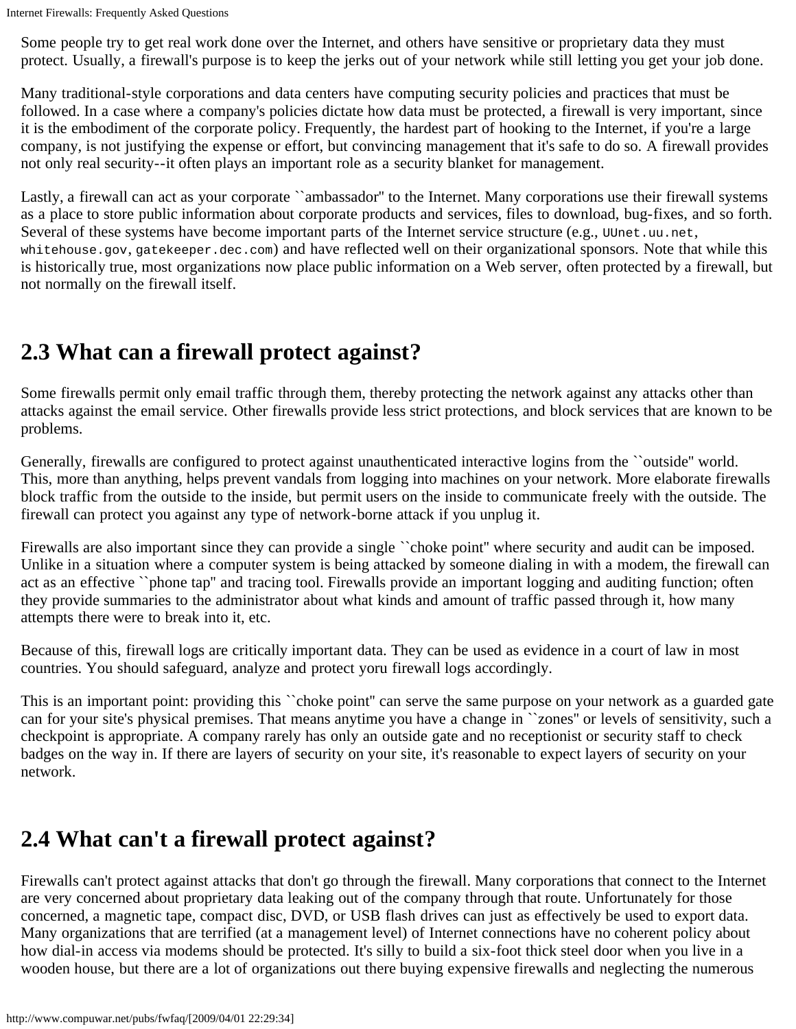Some people try to get real work done over the Internet, and others have sensitive or proprietary data they must protect. Usually, a firewall's purpose is to keep the jerks out of your network while still letting you get your job done.

Many traditional-style corporations and data centers have computing security policies and practices that must be followed. In a case where a company's policies dictate how data must be protected, a firewall is very important, since it is the embodiment of the corporate policy. Frequently, the hardest part of hooking to the Internet, if you're a large company, is not justifying the expense or effort, but convincing management that it's safe to do so. A firewall provides not only real security--it often plays an important role as a security blanket for management.

Lastly, a firewall can act as your corporate "ambassador" to the Internet. Many corporations use their firewall systems as a place to store public information about corporate products and services, files to download, bug-fixes, and so forth. Several of these systems have become important parts of the Internet service structure (e.g., UUnet.uu.net, whitehouse.gov, gatekeeper.dec.com) and have reflected well on their organizational sponsors. Note that while this is historically true, most organizations now place public information on a Web server, often protected by a firewall, but not normally on the firewall itself.

## **2.3 What can a firewall protect against?**

Some firewalls permit only email traffic through them, thereby protecting the network against any attacks other than attacks against the email service. Other firewalls provide less strict protections, and block services that are known to be problems.

Generally, firewalls are configured to protect against unauthenticated interactive logins from the ``outside'' world. This, more than anything, helps prevent vandals from logging into machines on your network. More elaborate firewalls block traffic from the outside to the inside, but permit users on the inside to communicate freely with the outside. The firewall can protect you against any type of network-borne attack if you unplug it.

Firewalls are also important since they can provide a single "choke point" where security and audit can be imposed. Unlike in a situation where a computer system is being attacked by someone dialing in with a modem, the firewall can act as an effective ``phone tap'' and tracing tool. Firewalls provide an important logging and auditing function; often they provide summaries to the administrator about what kinds and amount of traffic passed through it, how many attempts there were to break into it, etc.

Because of this, firewall logs are critically important data. They can be used as evidence in a court of law in most countries. You should safeguard, analyze and protect yoru firewall logs accordingly.

This is an important point: providing this ``choke point'' can serve the same purpose on your network as a guarded gate can for your site's physical premises. That means anytime you have a change in ``zones'' or levels of sensitivity, such a checkpoint is appropriate. A company rarely has only an outside gate and no receptionist or security staff to check badges on the way in. If there are layers of security on your site, it's reasonable to expect layers of security on your network.

# **2.4 What can't a firewall protect against?**

Firewalls can't protect against attacks that don't go through the firewall. Many corporations that connect to the Internet are very concerned about proprietary data leaking out of the company through that route. Unfortunately for those concerned, a magnetic tape, compact disc, DVD, or USB flash drives can just as effectively be used to export data. Many organizations that are terrified (at a management level) of Internet connections have no coherent policy about how dial-in access via modems should be protected. It's silly to build a six-foot thick steel door when you live in a wooden house, but there are a lot of organizations out there buying expensive firewalls and neglecting the numerous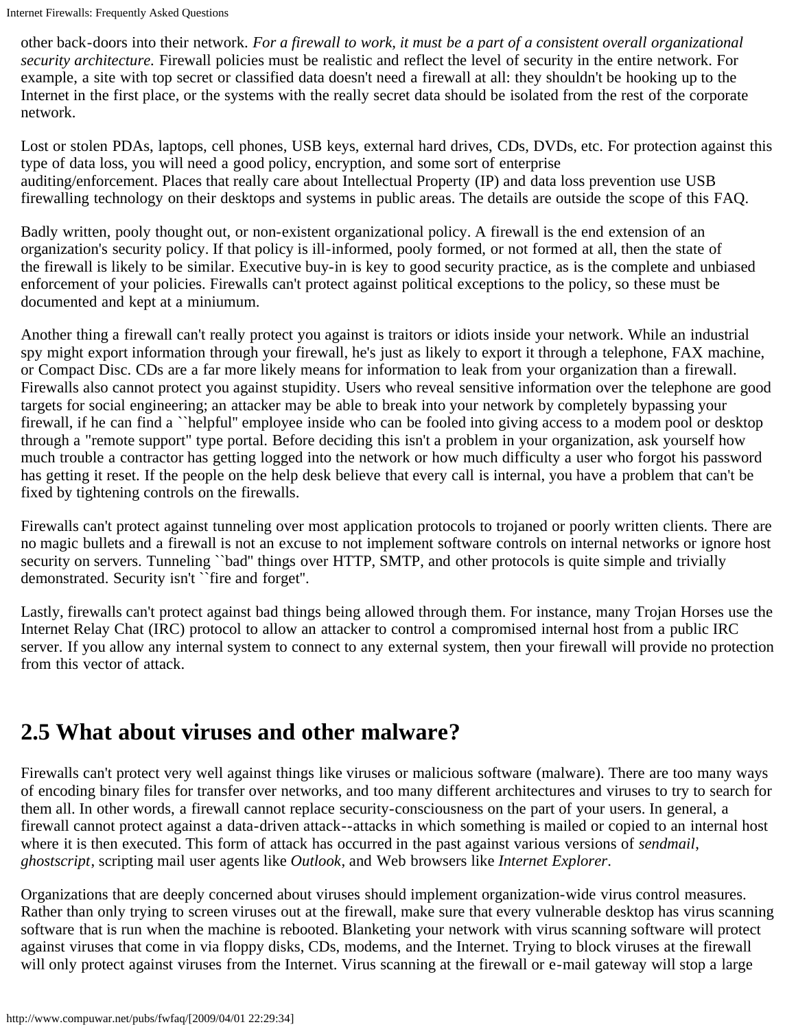other back-doors into their network. *For a firewall to work, it must be a part of a consistent overall organizational security architecture.* Firewall policies must be realistic and reflect the level of security in the entire network. For example, a site with top secret or classified data doesn't need a firewall at all: they shouldn't be hooking up to the Internet in the first place, or the systems with the really secret data should be isolated from the rest of the corporate network.

Lost or stolen PDAs, laptops, cell phones, USB keys, external hard drives, CDs, DVDs, etc. For protection against this type of data loss, you will need a good policy, encryption, and some sort of enterprise auditing/enforcement. Places that really care about Intellectual Property (IP) and data loss prevention use USB firewalling technology on their desktops and systems in public areas. The details are outside the scope of this FAQ.

Badly written, pooly thought out, or non-existent organizational policy. A firewall is the end extension of an organization's security policy. If that policy is ill-informed, pooly formed, or not formed at all, then the state of the firewall is likely to be similar. Executive buy-in is key to good security practice, as is the complete and unbiased enforcement of your policies. Firewalls can't protect against political exceptions to the policy, so these must be documented and kept at a miniumum.

Another thing a firewall can't really protect you against is traitors or idiots inside your network. While an industrial spy might export information through your firewall, he's just as likely to export it through a telephone, FAX machine, or Compact Disc. CDs are a far more likely means for information to leak from your organization than a firewall. Firewalls also cannot protect you against stupidity. Users who reveal sensitive information over the telephone are good targets for social engineering; an attacker may be able to break into your network by completely bypassing your firewall, if he can find a ``helpful'' employee inside who can be fooled into giving access to a modem pool or desktop through a "remote support" type portal. Before deciding this isn't a problem in your organization, ask yourself how much trouble a contractor has getting logged into the network or how much difficulty a user who forgot his password has getting it reset. If the people on the help desk believe that every call is internal, you have a problem that can't be fixed by tightening controls on the firewalls.

Firewalls can't protect against tunneling over most application protocols to trojaned or poorly written clients. There are no magic bullets and a firewall is not an excuse to not implement software controls on internal networks or ignore host security on servers. Tunneling "bad" things over HTTP, SMTP, and other protocols is quite simple and trivially demonstrated. Security isn't ``fire and forget''.

Lastly, firewalls can't protect against bad things being allowed through them. For instance, many Trojan Horses use the Internet Relay Chat (IRC) protocol to allow an attacker to control a compromised internal host from a public IRC server. If you allow any internal system to connect to any external system, then your firewall will provide no protection from this vector of attack.

### **2.5 What about viruses and other malware?**

Firewalls can't protect very well against things like viruses or malicious software (malware). There are too many ways of encoding binary files for transfer over networks, and too many different architectures and viruses to try to search for them all. In other words, a firewall cannot replace security-consciousness on the part of your users. In general, a firewall cannot protect against a data-driven attack--attacks in which something is mailed or copied to an internal host where it is then executed. This form of attack has occurred in the past against various versions of *sendmail*, *ghostscript*, scripting mail user agents like *Outlook*, and Web browsers like *Internet Explorer*.

Organizations that are deeply concerned about viruses should implement organization-wide virus control measures. Rather than only trying to screen viruses out at the firewall, make sure that every vulnerable desktop has virus scanning software that is run when the machine is rebooted. Blanketing your network with virus scanning software will protect against viruses that come in via floppy disks, CDs, modems, and the Internet. Trying to block viruses at the firewall will only protect against viruses from the Internet. Virus scanning at the firewall or e-mail gateway will stop a large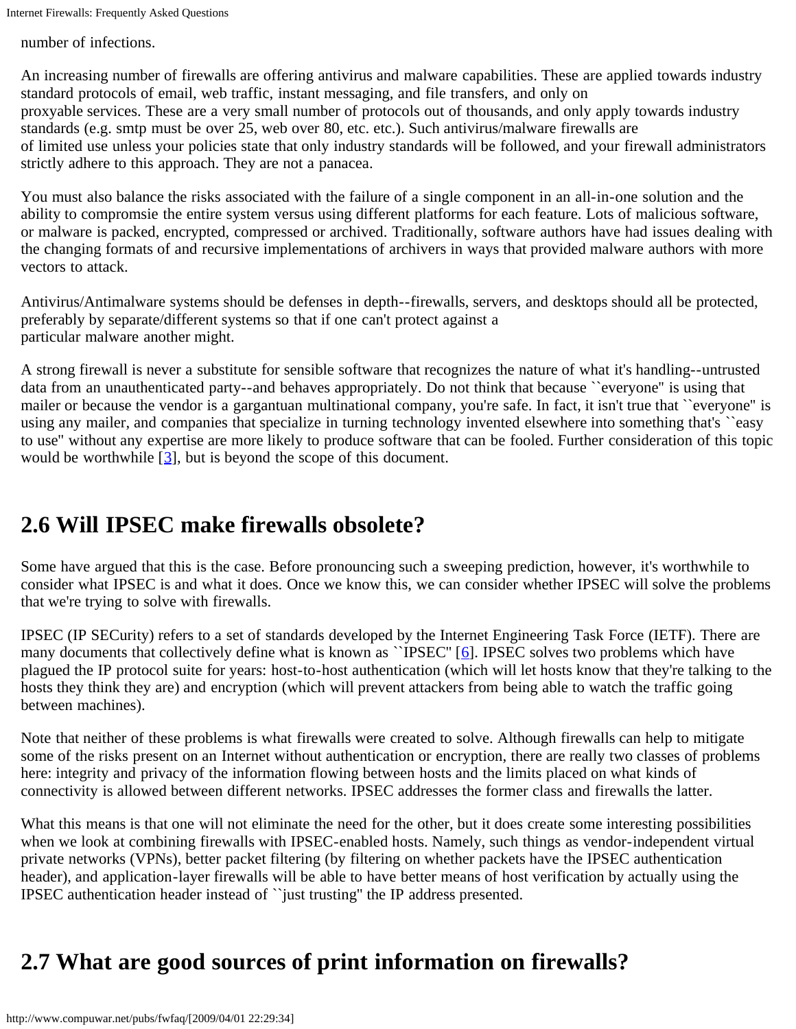number of infections.

An increasing number of firewalls are offering antivirus and malware capabilities. These are applied towards industry standard protocols of email, web traffic, instant messaging, and file transfers, and only on proxyable services. These are a very small number of protocols out of thousands, and only apply towards industry standards (e.g. smtp must be over 25, web over 80, etc. etc.). Such antivirus/malware firewalls are of limited use unless your policies state that only industry standards will be followed, and your firewall administrators strictly adhere to this approach. They are not a panacea.

You must also balance the risks associated with the failure of a single component in an all-in-one solution and the ability to compromsie the entire system versus using different platforms for each feature. Lots of malicious software, or malware is packed, encrypted, compressed or archived. Traditionally, software authors have had issues dealing with the changing formats of and recursive implementations of archivers in ways that provided malware authors with more vectors to attack.

Antivirus/Antimalware systems should be defenses in depth--firewalls, servers, and desktops should all be protected, preferably by separate/different systems so that if one can't protect against a particular malware another might.

A strong firewall is never a substitute for sensible software that recognizes the nature of what it's handling--untrusted data from an unauthenticated party--and behaves appropriately. Do not think that because ``everyone'' is using that mailer or because the vendor is a gargantuan multinational company, you're safe. In fact, it isn't true that ``everyone'' is using any mailer, and companies that specialize in turning technology invented elsewhere into something that's ``easy to use'' without any expertise are more likely to produce software that can be fooled. Further consideration of this topic would be worthwhile  $[3]$  $[3]$  $[3]$ , but is beyond the scope of this document.

## **2.6 Will IPSEC make firewalls obsolete?**

Some have argued that this is the case. Before pronouncing such a sweeping prediction, however, it's worthwhile to consider what IPSEC is and what it does. Once we know this, we can consider whether IPSEC will solve the problems that we're trying to solve with firewalls.

IPSEC (IP SECurity) refers to a set of standards developed by the Internet Engineering Task Force (IETF). There are many documents that collectively define what is known as "IPSEC" [[6](http://www.compuwar.net/pubs/fwfaq/firewalls-faq.bib#rfc2411)]. IPSEC solves two problems which have plagued the IP protocol suite for years: host-to-host authentication (which will let hosts know that they're talking to the hosts they think they are) and encryption (which will prevent attackers from being able to watch the traffic going between machines).

Note that neither of these problems is what firewalls were created to solve. Although firewalls can help to mitigate some of the risks present on an Internet without authentication or encryption, there are really two classes of problems here: integrity and privacy of the information flowing between hosts and the limits placed on what kinds of connectivity is allowed between different networks. IPSEC addresses the former class and firewalls the latter.

What this means is that one will not eliminate the need for the other, but it does create some interesting possibilities when we look at combining firewalls with IPSEC-enabled hosts. Namely, such things as vendor-independent virtual private networks (VPNs), better packet filtering (by filtering on whether packets have the IPSEC authentication header), and application-layer firewalls will be able to have better means of host verification by actually using the IPSEC authentication header instead of ``just trusting'' the IP address presented.

# **2.7 What are good sources of print information on firewalls?**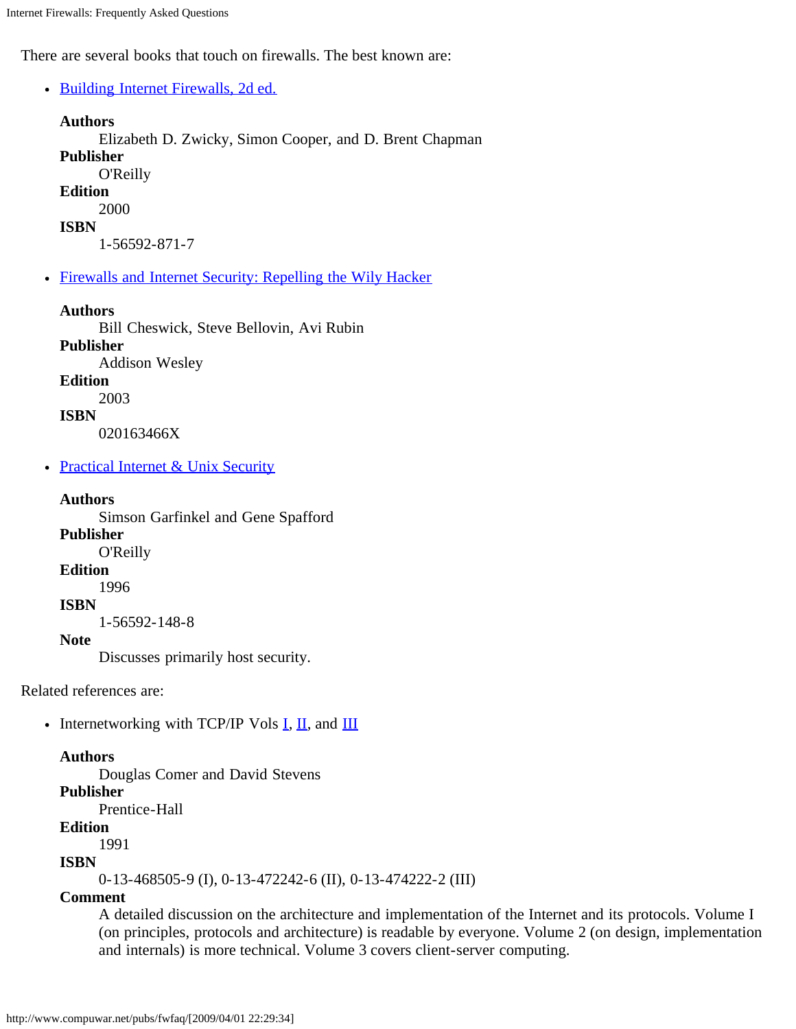There are several books that touch on firewalls. The best known are:

#### • [Building Internet Firewalls, 2d ed.](http://www.greatcircle.com/firewalls-book/)

#### **Authors**

Elizabeth D. Zwicky, Simon Cooper, and D. Brent Chapman **Publisher** O'Reilly **Edition** 2000 **ISBN**

1-56592-871-7

[Firewalls and Internet Security: Repelling the Wily Hacker](http://cseng.aw.com/bookpage.taf?ISBN=0-201-63357-4&ptype=0&catpage=&catID=2.1129&ctype=)

#### **Authors**

Bill Cheswick, Steve Bellovin, Avi Rubin

### **Publisher**

Addison Wesley

### **Edition**

2003

### **ISBN**

020163466X

• [Practical Internet & Unix Security](http://www.oreilly.com/catalog/puis/)

#### **Authors**

Simson Garfinkel and Gene Spafford **Publisher** O'Reilly **Edition** 1996 **ISBN** 1-56592-148-8 **Note** Discusses primarily host security.

Related references are:

• Internetworking with TCP/IP Vols  $I, II$  $I, II$ , and  $III$ 

#### **Authors**

Douglas Comer and David Stevens

### **Publisher**

Prentice-Hall

### **Edition**

1991

#### **ISBN**

0-13-468505-9 (I), 0-13-472242-6 (II), 0-13-474222-2 (III)

#### **Comment**

A detailed discussion on the architecture and implementation of the Internet and its protocols. Volume I (on principles, protocols and architecture) is readable by everyone. Volume 2 (on design, implementation and internals) is more technical. Volume 3 covers client-server computing.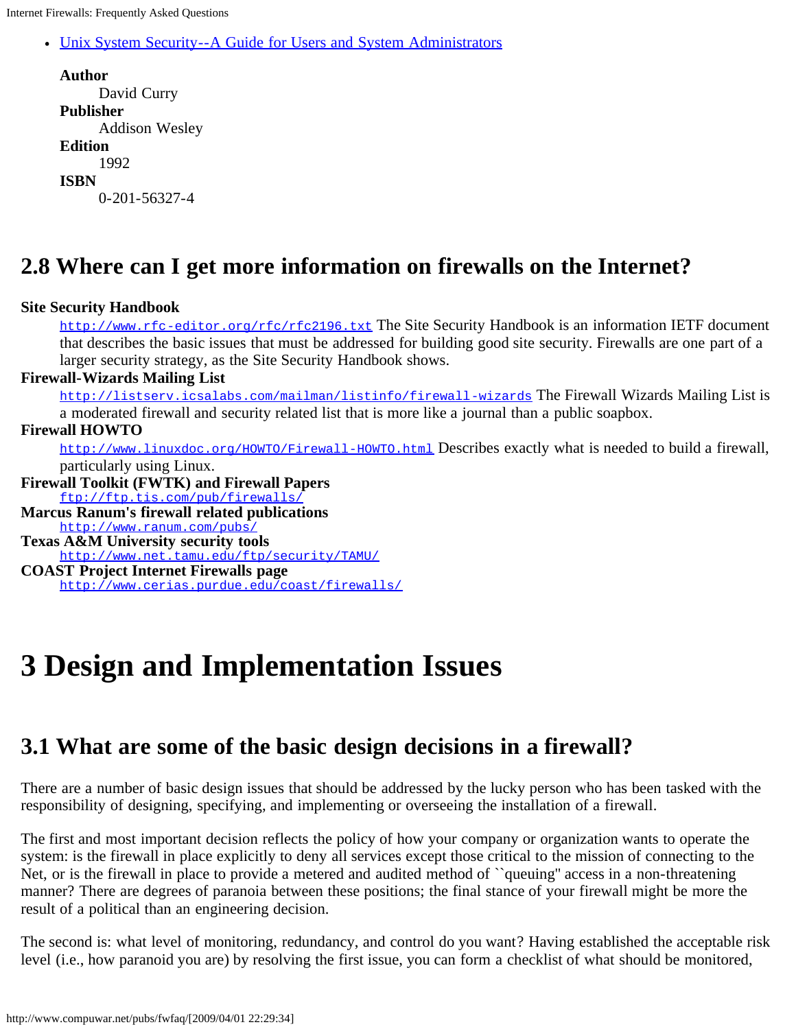[Unix System Security--A Guide for Users and System Administrators](http://cseng.aw.com/bookdetail.qry?ISBN=0-201-56327-4&ptype=1119)

```
Author
     David Curry
Publisher
     Addison Wesley
Edition
     1992
ISBN
     0-201-56327-4
```
### **2.8 Where can I get more information on firewalls on the Internet?**

#### **Site Security Handbook**

<http://www.rfc-editor.org/rfc/rfc2196.txt> The Site Security Handbook is an information IETF document that describes the basic issues that must be addressed for building good site security. Firewalls are one part of a larger security strategy, as the Site Security Handbook shows.

#### **Firewall-Wizards Mailing List**

[http://listserv.icsalabs.com/mailman/listinfo/firewall-wizards](http://honor.icsalabs.com/mailman/listinfo/firewall-wizards) The Firewall Wizards Mailing List is a moderated firewall and security related list that is more like a journal than a public soapbox.

#### **Firewall HOWTO**

<http://www.linuxdoc.org/HOWTO/Firewall-HOWTO.html> Describes exactly what is needed to build a firewall, particularly using Linux.

- **Firewall Toolkit (FWTK) and Firewall Papers** <ftp://ftp.tis.com/pub/firewalls/>
- **Marcus Ranum's firewall related publications** <http://www.ranum.com/pubs/>

**Texas A&M University security tools** <http://www.net.tamu.edu/ftp/security/TAMU/>

**COAST Project Internet Firewalls page** <http://www.cerias.purdue.edu/coast/firewalls/>

# **3 Design and Implementation Issues**

### **3.1 What are some of the basic design decisions in a firewall?**

There are a number of basic design issues that should be addressed by the lucky person who has been tasked with the responsibility of designing, specifying, and implementing or overseeing the installation of a firewall.

The first and most important decision reflects the policy of how your company or organization wants to operate the system: is the firewall in place explicitly to deny all services except those critical to the mission of connecting to the Net, or is the firewall in place to provide a metered and audited method of ``queuing'' access in a non-threatening manner? There are degrees of paranoia between these positions; the final stance of your firewall might be more the result of a political than an engineering decision.

The second is: what level of monitoring, redundancy, and control do you want? Having established the acceptable risk level (i.e., how paranoid you are) by resolving the first issue, you can form a checklist of what should be monitored,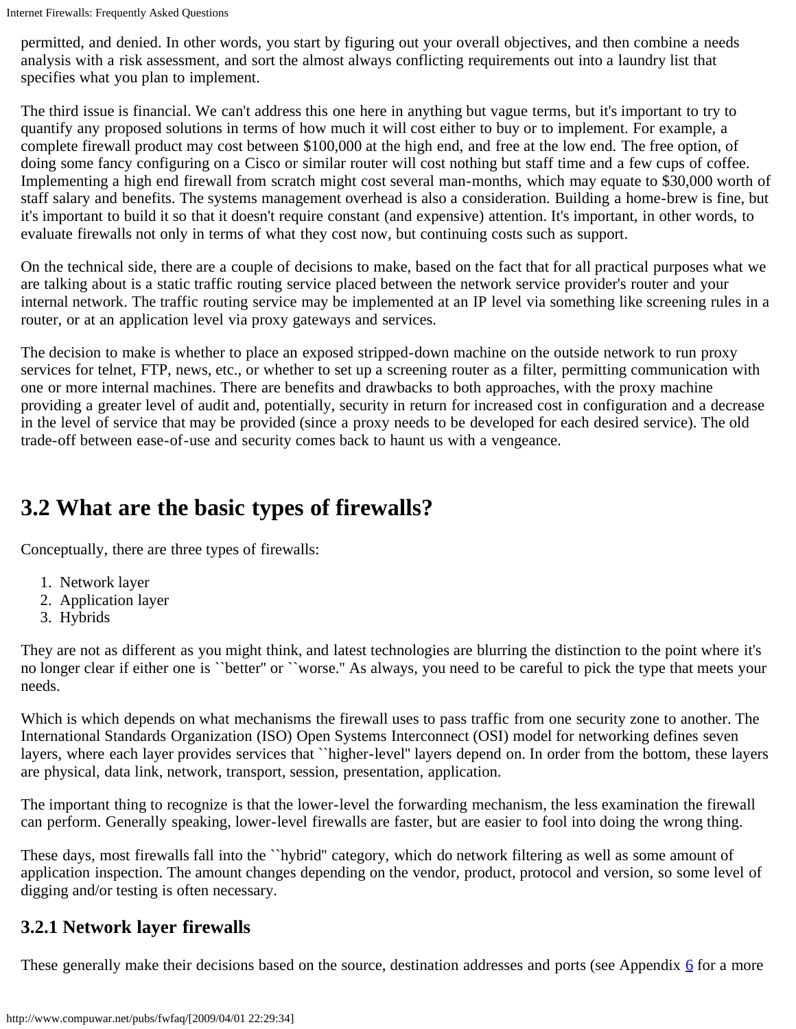permitted, and denied. In other words, you start by figuring out your overall objectives, and then combine a needs analysis with a risk assessment, and sort the almost always conflicting requirements out into a laundry list that specifies what you plan to implement.

The third issue is financial. We can't address this one here in anything but vague terms, but it's important to try to quantify any proposed solutions in terms of how much it will cost either to buy or to implement. For example, a complete firewall product may cost between \$100,000 at the high end, and free at the low end. The free option, of doing some fancy configuring on a Cisco or similar router will cost nothing but staff time and a few cups of coffee. Implementing a high end firewall from scratch might cost several man-months, which may equate to \$30,000 worth of staff salary and benefits. The systems management overhead is also a consideration. Building a home-brew is fine, but it's important to build it so that it doesn't require constant (and expensive) attention. It's important, in other words, to evaluate firewalls not only in terms of what they cost now, but continuing costs such as support.

On the technical side, there are a couple of decisions to make, based on the fact that for all practical purposes what we are talking about is a static traffic routing service placed between the network service provider's router and your internal network. The traffic routing service may be implemented at an IP level via something like screening rules in a router, or at an application level via proxy gateways and services.

The decision to make is whether to place an exposed stripped-down machine on the outside network to run proxy services for telnet, FTP, news, etc., or whether to set up a screening router as a filter, permitting communication with one or more internal machines. There are benefits and drawbacks to both approaches, with the proxy machine providing a greater level of audit and, potentially, security in return for increased cost in configuration and a decrease in the level of service that may be provided (since a proxy needs to be developed for each desired service). The old trade-off between ease-of-use and security comes back to haunt us with a vengeance.

## **3.2 What are the basic types of firewalls?**

Conceptually, there are three types of firewalls:

- 1. Network layer
- 2. Application layer
- 3. Hybrids

They are not as different as you might think, and latest technologies are blurring the distinction to the point where it's no longer clear if either one is ``better'' or ``worse.'' As always, you need to be careful to pick the type that meets your needs.

Which is which depends on what mechanisms the firewall uses to pass traffic from one security zone to another. The International Standards Organization (ISO) Open Systems Interconnect (OSI) model for networking defines seven layers, where each layer provides services that ``higher-level'' layers depend on. In order from the bottom, these layers are physical, data link, network, transport, session, presentation, application.

The important thing to recognize is that the lower-level the forwarding mechanism, the less examination the firewall can perform. Generally speaking, lower-level firewalls are faster, but are easier to fool into doing the wrong thing.

These days, most firewalls fall into the ``hybrid'' category, which do network filtering as well as some amount of application inspection. The amount changes depending on the vendor, product, protocol and version, so some level of digging and/or testing is often necessary.

### **3.2.1 Network layer firewalls**

These generally make their decisions based on the source, destination addresses and ports (see Appendix  $6$  for a more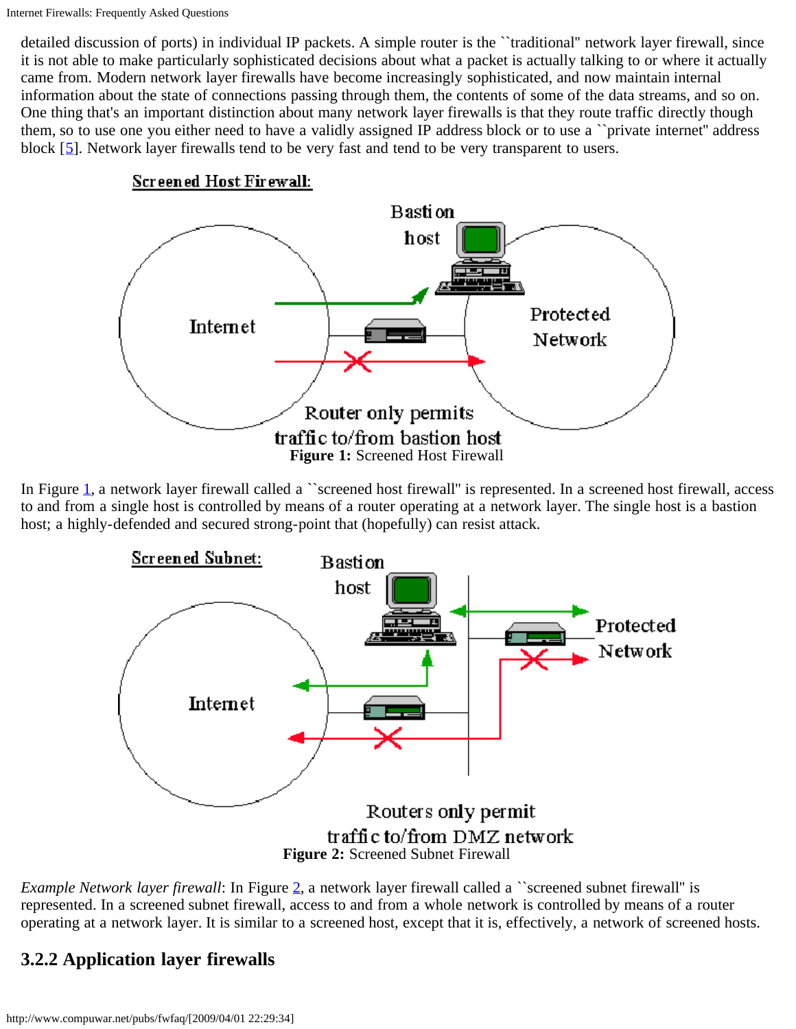detailed discussion of ports) in individual IP packets. A simple router is the ``traditional'' network layer firewall, since it is not able to make particularly sophisticated decisions about what a packet is actually talking to or where it actually came from. Modern network layer firewalls have become increasingly sophisticated, and now maintain internal information about the state of connections passing through them, the contents of some of the data streams, and so on. One thing that's an important distinction about many network layer firewalls is that they route traffic directly though them, so to use one you either need to have a validly assigned IP address block or to use a ``private internet'' address block [[5\]](http://www.compuwar.net/pubs/fwfaq/firewalls-faq.bib#rfc1918). Network layer firewalls tend to be very fast and tend to be very transparent to users.



In Figure  $\frac{1}{1}$  $\frac{1}{1}$  $\frac{1}{1}$ , a network layer firewall called a "screened host firewall" is represented. In a screened host firewall, access to and from a single host is controlled by means of a router operating at a network layer. The single host is a bastion host; a highly-defended and secured strong-point that (hopefully) can resist attack.



**Figure 2:** Screened Subnet Firewall

*Example Network layer firewall*: In Figure [2](http://www.compuwar.net/pubs/fwfaq/firewalls-faq.html#fig:screened_subnet), a network layer firewall called a "screened subnet firewall" is represented. In a screened subnet firewall, access to and from a whole network is controlled by means of a router operating at a network layer. It is similar to a screened host, except that it is, effectively, a network of screened hosts.

### **3.2.2 Application layer firewalls**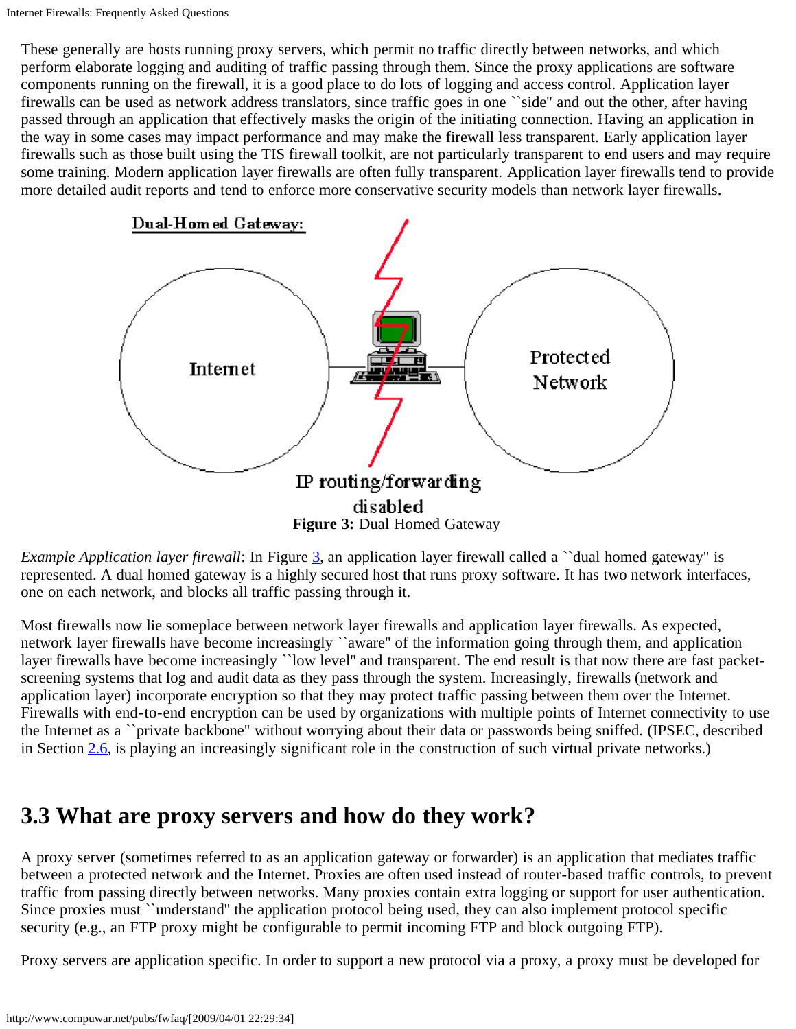These generally are hosts running proxy servers, which permit no traffic directly between networks, and which perform elaborate logging and auditing of traffic passing through them. Since the proxy applications are software components running on the firewall, it is a good place to do lots of logging and access control. Application layer firewalls can be used as network address translators, since traffic goes in one ``side'' and out the other, after having passed through an application that effectively masks the origin of the initiating connection. Having an application in the way in some cases may impact performance and may make the firewall less transparent. Early application layer firewalls such as those built using the TIS firewall toolkit, are not particularly transparent to end users and may require some training. Modern application layer firewalls are often fully transparent. Application layer firewalls tend to provide more detailed audit reports and tend to enforce more conservative security models than network layer firewalls.



*Example Application layer firewall*: In Figure [3](http://www.compuwar.net/pubs/fwfaq/firewalls-faq.html#fig:dual_homed_gateway), an application layer firewall called a "dual homed gateway" is represented. A dual homed gateway is a highly secured host that runs proxy software. It has two network interfaces, one on each network, and blocks all traffic passing through it.

Most firewalls now lie someplace between network layer firewalls and application layer firewalls. As expected, network layer firewalls have become increasingly ``aware'' of the information going through them, and application layer firewalls have become increasingly ``low level'' and transparent. The end result is that now there are fast packetscreening systems that log and audit data as they pass through the system. Increasingly, firewalls (network and application layer) incorporate encryption so that they may protect traffic passing between them over the Internet. Firewalls with end-to-end encryption can be used by organizations with multiple points of Internet connectivity to use the Internet as a ``private backbone'' without worrying about their data or passwords being sniffed. (IPSEC, described in Section [2.6,](http://www.compuwar.net/pubs/fwfaq/firewalls-faq.html#sec:fw_ipsec) is playing an increasingly significant role in the construction of such virtual private networks.)

# **3.3 What are proxy servers and how do they work?**

A proxy server (sometimes referred to as an application gateway or forwarder) is an application that mediates traffic between a protected network and the Internet. Proxies are often used instead of router-based traffic controls, to prevent traffic from passing directly between networks. Many proxies contain extra logging or support for user authentication. Since proxies must ``understand'' the application protocol being used, they can also implement protocol specific security (e.g., an FTP proxy might be configurable to permit incoming FTP and block outgoing FTP).

Proxy servers are application specific. In order to support a new protocol via a proxy, a proxy must be developed for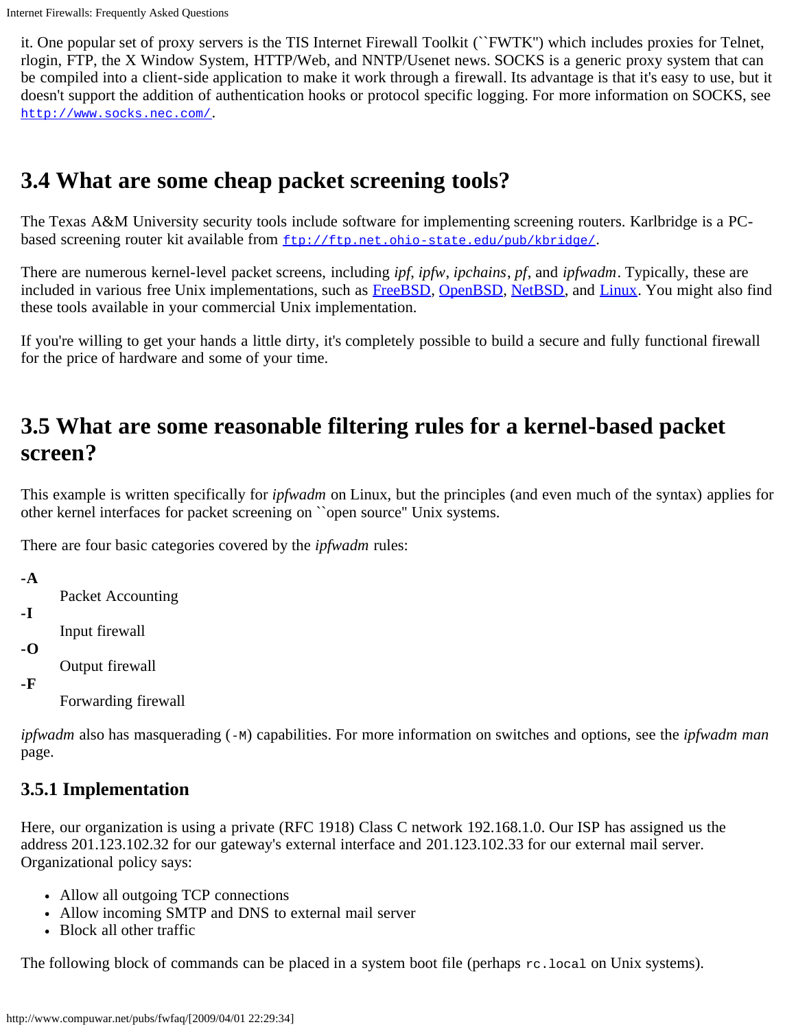it. One popular set of proxy servers is the TIS Internet Firewall Toolkit (``FWTK'') which includes proxies for Telnet, rlogin, FTP, the X Window System, HTTP/Web, and NNTP/Usenet news. SOCKS is a generic proxy system that can be compiled into a client-side application to make it work through a firewall. Its advantage is that it's easy to use, but it doesn't support the addition of authentication hooks or protocol specific logging. For more information on SOCKS, see <http://www.socks.nec.com/>.

### **3.4 What are some cheap packet screening tools?**

The Texas A&M University security tools include software for implementing screening routers. Karlbridge is a PCbased screening router kit available from  $\underline{ftp://ftp.net.ohio-state.edu/pub/kbridge/}$  $\underline{ftp://ftp.net.ohio-state.edu/pub/kbridge/}$  $\underline{ftp://ftp.net.ohio-state.edu/pub/kbridge/}$ .

There are numerous kernel-level packet screens, including *ipf*, *ipfw*, *ipchains*, *pf*, and *ipfwadm*. Typically, these are included in various free Unix implementations, such as **FreeBSD**, [OpenBSD,](http://www.openbsd.org/) [NetBSD](http://www.netbsd.org/), and [Linux.](http://www.linux.org/) You might also find these tools available in your commercial Unix implementation.

If you're willing to get your hands a little dirty, it's completely possible to build a secure and fully functional firewall for the price of hardware and some of your time.

### **3.5 What are some reasonable filtering rules for a kernel-based packet screen?**

This example is written specifically for *ipfwadm* on Linux, but the principles (and even much of the syntax) applies for other kernel interfaces for packet screening on ``open source'' Unix systems.

There are four basic categories covered by the *ipfwadm* rules:

**-A**

```
Packet Accounting
-I
     Input firewall
-O
     Output firewall
-F
```
Forwarding firewall

*ipfwadm* also has masquerading (-M) capabilities. For more information on switches and options, see the *ipfwadm man* page.

### **3.5.1 Implementation**

Here, our organization is using a private (RFC 1918) Class C network 192.168.1.0. Our ISP has assigned us the address 201.123.102.32 for our gateway's external interface and 201.123.102.33 for our external mail server. Organizational policy says:

- Allow all outgoing TCP connections
- Allow incoming SMTP and DNS to external mail server
- Block all other traffic

The following block of commands can be placed in a system boot file (perhaps rc.local on Unix systems).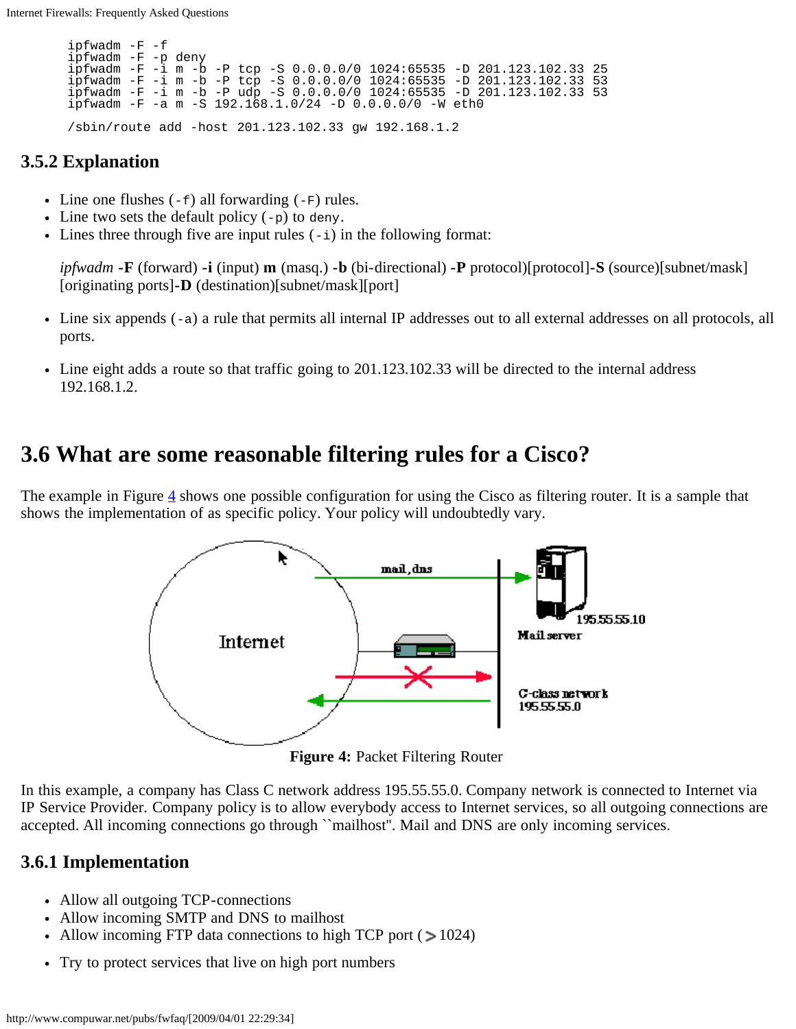ipfwadm -F -f ipfwadm -F -p deny ipfwadm -F -i m -b -P tcp -S 0.0.0.0/0 1024:65535 -D 201.123.102.33 25 ipfwadm -F -i m -b -P tcp -S 0.0.0.0/0 1024:65535 -D 201.123.102.33 53 ipfwadm -F -i m -b -P udp -S 0.0.0.0/0 1024:65535 -D 201.123.102.33 53 ipfwadm -F -a m -S 192.168.1.0/24 -D 0.0.0.0/0 -W eth0 /sbin/route add -host 201.123.102.33 gw 192.168.1.2

### **3.5.2 Explanation**

- Line one flushes  $(-f)$  all forwarding  $(-F)$  rules.
- Line two sets the default policy  $(-p)$  to deny.
- In Lines three through five are input rules  $(-i)$  in the following format:

*ipfwadm* **-F** (forward) **-i** (input) **m** (masq.) **-b** (bi-directional) **-P** protocol)[protocol]**-S** (source)[subnet/mask] [originating ports]**-D** (destination)[subnet/mask][port]

- Line six appends (-a) a rule that permits all internal IP addresses out to all external addresses on all protocols, all ports.
- Line eight adds a route so that traffic going to 201.123.102.33 will be directed to the internal address 192.168.1.2.

### **3.6 What are some reasonable filtering rules for a Cisco?**

The example in Figure  $\frac{4}{3}$  $\frac{4}{3}$  $\frac{4}{3}$  shows one possible configuration for using the Cisco as filtering router. It is a sample that shows the implementation of as specific policy. Your policy will undoubtedly vary.



**Figure 4:** Packet Filtering Router

In this example, a company has Class C network address 195.55.55.0. Company network is connected to Internet via IP Service Provider. Company policy is to allow everybody access to Internet services, so all outgoing connections are accepted. All incoming connections go through ``mailhost''. Mail and DNS are only incoming services.

### **3.6.1 Implementation**

- Allow all outgoing TCP-connections
- Allow incoming SMTP and DNS to mailhost
- Allow incoming FTP data connections to high TCP port  $(1024)$
- Try to protect services that live on high port numbers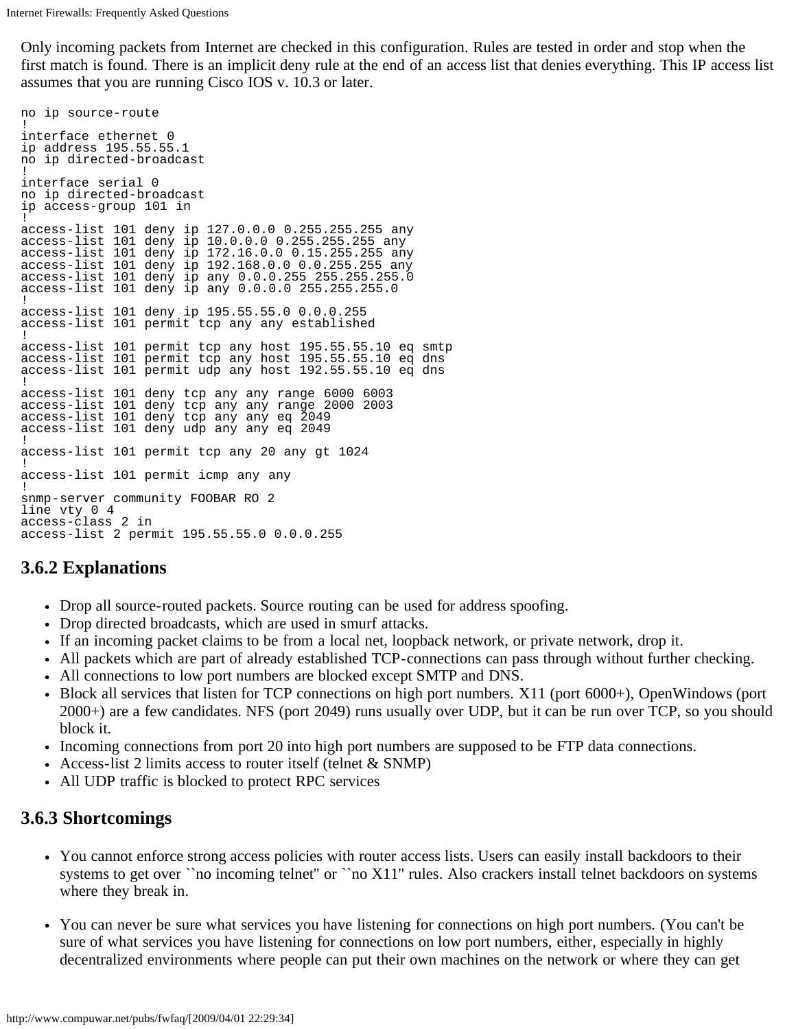Only incoming packets from Internet are checked in this configuration. Rules are tested in order and stop when the first match is found. There is an implicit deny rule at the end of an access list that denies everything. This IP access list assumes that you are running Cisco IOS v. 10.3 or later.

no ip source-route ! interface ethernet 0 ip address 195.55.55.1 no ip directed-broadcast ! interface serial 0 no ip directed-broadcast ip access-group 101 in ! access-list 101 deny ip 127.0.0.0 0.255.255.255 any access-list 101 deny ip 10.0.0.0 0.255.255.255 any access-list 101 deny ip 172.16.0.0 0.15.255.255 any access-list 101 deny ip 192.168.0.0 0.0.255.255 any access-list 101 deny ip any 0.0.0.255 255.255.255.0 access-list 101 deny ip any 0.0.0.0 255.255.255.0 ! access-list 101 deny ip 195.55.55.0 0.0.0.255 access-list 101 permit tcp any any established ! access-list 101 permit tcp any host 195.55.55.10 eq smtp access-list 101 permit tcp any host 195.55.55.10 eq dns access-list 101 permit udp any host 192.55.55.10 eq dns ! access-list 101 deny tcp any any range 6000 6003 access-list 101 deny tcp any any range 2000 2003 access-list 101 deny tcp any any eq 2049 access-list 101 deny udp any any eq 2049 ! access-list 101 permit tcp any 20 any gt 1024 ! access-list 101 permit icmp any any ! snmp-server community FOOBAR RO 2 line vty 0 4 access-class 2 in access-list 2 permit 195.55.55.0 0.0.0.255

### **3.6.2 Explanations**

- Drop all source-routed packets. Source routing can be used for address spoofing.
- Drop directed broadcasts, which are used in smurf attacks.
- If an incoming packet claims to be from a local net, loopback network, or private network, drop it.
- All packets which are part of already established TCP-connections can pass through without further checking.
- All connections to low port numbers are blocked except SMTP and DNS.
- Block all services that listen for TCP connections on high port numbers. X11 (port 6000+), OpenWindows (port 2000+) are a few candidates. NFS (port 2049) runs usually over UDP, but it can be run over TCP, so you should block it.
- Incoming connections from port 20 into high port numbers are supposed to be FTP data connections.
- Access-list 2 limits access to router itself (telnet  $&$  SNMP)
- All UDP traffic is blocked to protect RPC services

### **3.6.3 Shortcomings**

- You cannot enforce strong access policies with router access lists. Users can easily install backdoors to their systems to get over ``no incoming telnet'' or ``no X11'' rules. Also crackers install telnet backdoors on systems where they break in.
- You can never be sure what services you have listening for connections on high port numbers. (You can't be sure of what services you have listening for connections on low port numbers, either, especially in highly decentralized environments where people can put their own machines on the network or where they can get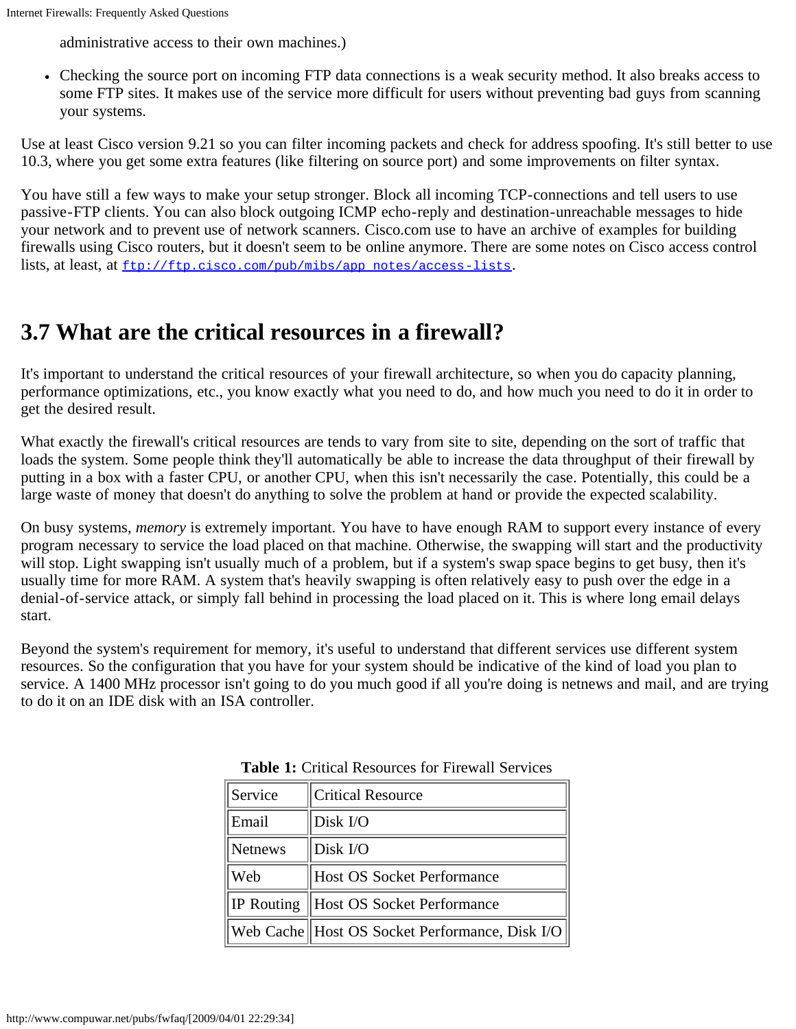administrative access to their own machines.)

Checking the source port on incoming FTP data connections is a weak security method. It also breaks access to some FTP sites. It makes use of the service more difficult for users without preventing bad guys from scanning your systems.

Use at least Cisco version 9.21 so you can filter incoming packets and check for address spoofing. It's still better to use 10.3, where you get some extra features (like filtering on source port) and some improvements on filter syntax.

You have still a few ways to make your setup stronger. Block all incoming TCP-connections and tell users to use passive-FTP clients. You can also block outgoing ICMP echo-reply and destination-unreachable messages to hide your network and to prevent use of network scanners. Cisco.com use to have an archive of examples for building firewalls using Cisco routers, but it doesn't seem to be online anymore. There are some notes on Cisco access control lists, at least, at  $\underline{\text{ftp}}$ ://ftp.cisco.com/pub/mibs/app\_notes/access-lists.

### **3.7 What are the critical resources in a firewall?**

It's important to understand the critical resources of your firewall architecture, so when you do capacity planning, performance optimizations, etc., you know exactly what you need to do, and how much you need to do it in order to get the desired result.

What exactly the firewall's critical resources are tends to vary from site to site, depending on the sort of traffic that loads the system. Some people think they'll automatically be able to increase the data throughput of their firewall by putting in a box with a faster CPU, or another CPU, when this isn't necessarily the case. Potentially, this could be a large waste of money that doesn't do anything to solve the problem at hand or provide the expected scalability.

On busy systems, *memory* is extremely important. You have to have enough RAM to support every instance of every program necessary to service the load placed on that machine. Otherwise, the swapping will start and the productivity will stop. Light swapping isn't usually much of a problem, but if a system's swap space begins to get busy, then it's usually time for more RAM. A system that's heavily swapping is often relatively easy to push over the edge in a denial-of-service attack, or simply fall behind in processing the load placed on it. This is where long email delays start.

Beyond the system's requirement for memory, it's useful to understand that different services use different system resources. So the configuration that you have for your system should be indicative of the kind of load you plan to service. A 1400 MHz processor isn't going to do you much good if all you're doing is netnews and mail, and are trying to do it on an IDE disk with an ISA controller.

| Service           | <b>Critical Resource</b>                       |  |
|-------------------|------------------------------------------------|--|
| Email             | Disk I/O                                       |  |
| <b>Netnews</b>    | Disk I/O                                       |  |
| Web               | Host OS Socket Performance                     |  |
| <b>IP</b> Routing | Host OS Socket Performance                     |  |
|                   | Web Cache Host OS Socket Performance, Disk I/O |  |

**Table 1:** Critical Resources for Firewall Services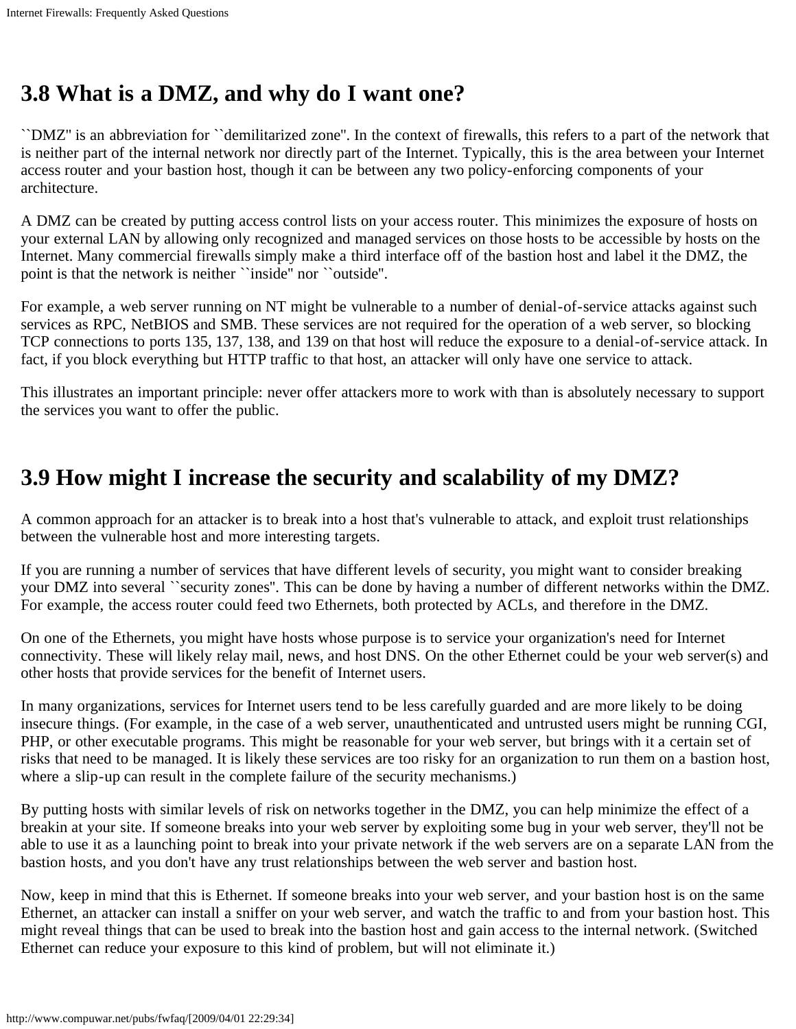### **3.8 What is a DMZ, and why do I want one?**

``DMZ'' is an abbreviation for ``demilitarized zone''. In the context of firewalls, this refers to a part of the network that is neither part of the internal network nor directly part of the Internet. Typically, this is the area between your Internet access router and your bastion host, though it can be between any two policy-enforcing components of your architecture.

A DMZ can be created by putting access control lists on your access router. This minimizes the exposure of hosts on your external LAN by allowing only recognized and managed services on those hosts to be accessible by hosts on the Internet. Many commercial firewalls simply make a third interface off of the bastion host and label it the DMZ, the point is that the network is neither ``inside'' nor ``outside''.

For example, a web server running on NT might be vulnerable to a number of denial-of-service attacks against such services as RPC, NetBIOS and SMB. These services are not required for the operation of a web server, so blocking TCP connections to ports 135, 137, 138, and 139 on that host will reduce the exposure to a denial-of-service attack. In fact, if you block everything but HTTP traffic to that host, an attacker will only have one service to attack.

This illustrates an important principle: never offer attackers more to work with than is absolutely necessary to support the services you want to offer the public.

### **3.9 How might I increase the security and scalability of my DMZ?**

A common approach for an attacker is to break into a host that's vulnerable to attack, and exploit trust relationships between the vulnerable host and more interesting targets.

If you are running a number of services that have different levels of security, you might want to consider breaking your DMZ into several ``security zones''. This can be done by having a number of different networks within the DMZ. For example, the access router could feed two Ethernets, both protected by ACLs, and therefore in the DMZ.

On one of the Ethernets, you might have hosts whose purpose is to service your organization's need for Internet connectivity. These will likely relay mail, news, and host DNS. On the other Ethernet could be your web server(s) and other hosts that provide services for the benefit of Internet users.

In many organizations, services for Internet users tend to be less carefully guarded and are more likely to be doing insecure things. (For example, in the case of a web server, unauthenticated and untrusted users might be running CGI, PHP, or other executable programs. This might be reasonable for your web server, but brings with it a certain set of risks that need to be managed. It is likely these services are too risky for an organization to run them on a bastion host, where a slip-up can result in the complete failure of the security mechanisms.)

By putting hosts with similar levels of risk on networks together in the DMZ, you can help minimize the effect of a breakin at your site. If someone breaks into your web server by exploiting some bug in your web server, they'll not be able to use it as a launching point to break into your private network if the web servers are on a separate LAN from the bastion hosts, and you don't have any trust relationships between the web server and bastion host.

Now, keep in mind that this is Ethernet. If someone breaks into your web server, and your bastion host is on the same Ethernet, an attacker can install a sniffer on your web server, and watch the traffic to and from your bastion host. This might reveal things that can be used to break into the bastion host and gain access to the internal network. (Switched Ethernet can reduce your exposure to this kind of problem, but will not eliminate it.)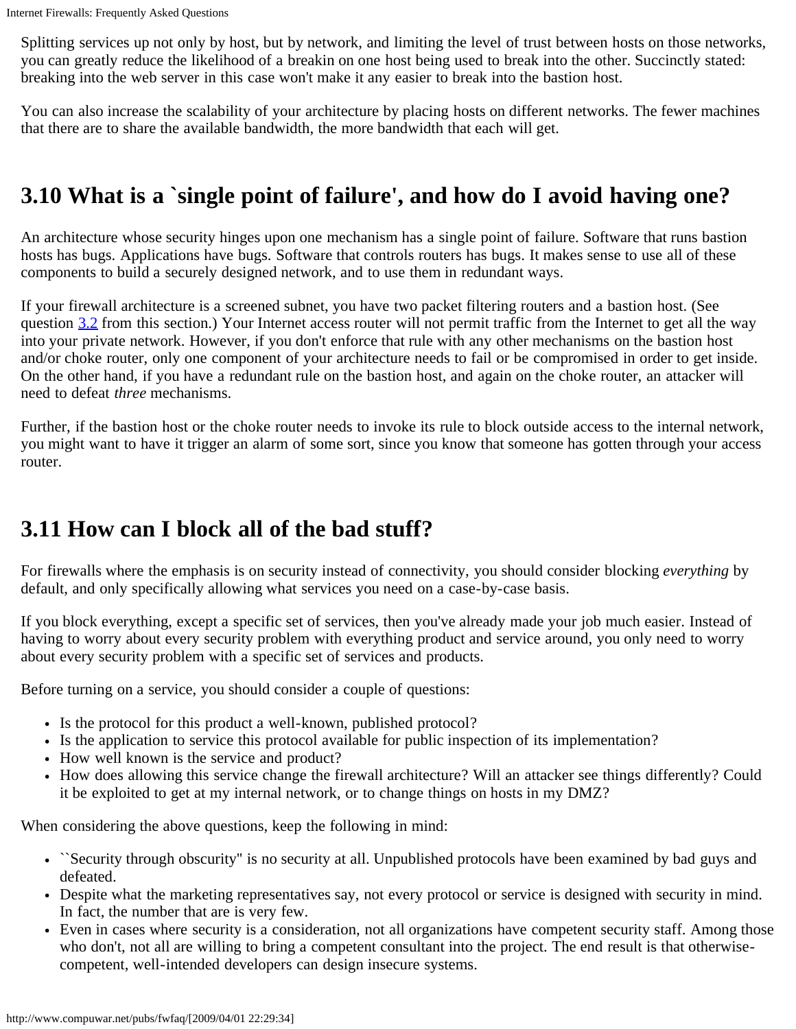Splitting services up not only by host, but by network, and limiting the level of trust between hosts on those networks, you can greatly reduce the likelihood of a breakin on one host being used to break into the other. Succinctly stated: breaking into the web server in this case won't make it any easier to break into the bastion host.

You can also increase the scalability of your architecture by placing hosts on different networks. The fewer machines that there are to share the available bandwidth, the more bandwidth that each will get.

## **3.10 What is a `single point of failure', and how do I avoid having one?**

An architecture whose security hinges upon one mechanism has a single point of failure. Software that runs bastion hosts has bugs. Applications have bugs. Software that controls routers has bugs. It makes sense to use all of these components to build a securely designed network, and to use them in redundant ways.

If your firewall architecture is a screened subnet, you have two packet filtering routers and a bastion host. (See question [3.2](http://www.compuwar.net/pubs/fwfaq/firewalls-faq.html#sec:firewall_types) from this section.) Your Internet access router will not permit traffic from the Internet to get all the way into your private network. However, if you don't enforce that rule with any other mechanisms on the bastion host and/or choke router, only one component of your architecture needs to fail or be compromised in order to get inside. On the other hand, if you have a redundant rule on the bastion host, and again on the choke router, an attacker will need to defeat *three* mechanisms.

Further, if the bastion host or the choke router needs to invoke its rule to block outside access to the internal network, you might want to have it trigger an alarm of some sort, since you know that someone has gotten through your access router.

### **3.11 How can I block all of the bad stuff?**

For firewalls where the emphasis is on security instead of connectivity, you should consider blocking *everything* by default, and only specifically allowing what services you need on a case-by-case basis.

If you block everything, except a specific set of services, then you've already made your job much easier. Instead of having to worry about every security problem with everything product and service around, you only need to worry about every security problem with a specific set of services and products.

Before turning on a service, you should consider a couple of questions:

- Is the protocol for this product a well-known, published protocol?
- Is the application to service this protocol available for public inspection of its implementation?
- How well known is the service and product?
- How does allowing this service change the firewall architecture? Will an attacker see things differently? Could it be exploited to get at my internal network, or to change things on hosts in my DMZ?

When considering the above questions, keep the following in mind:

- "Security through obscurity" is no security at all. Unpublished protocols have been examined by bad guys and defeated.
- Despite what the marketing representatives say, not every protocol or service is designed with security in mind. In fact, the number that are is very few.
- Even in cases where security is a consideration, not all organizations have competent security staff. Among those who don't, not all are willing to bring a competent consultant into the project. The end result is that otherwisecompetent, well-intended developers can design insecure systems.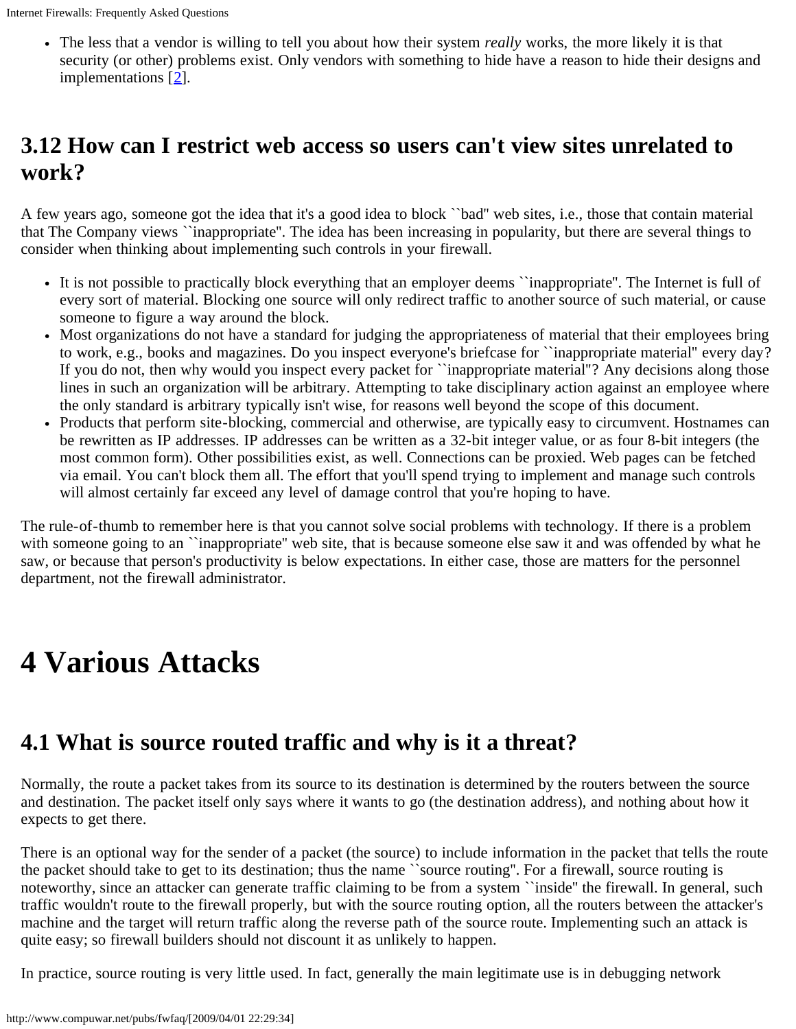The less that a vendor is willing to tell you about how their system *really* works, the more likely it is that security (or other) problems exist. Only vendors with something to hide have a reason to hide their designs and implementations [[2\]](http://www.compuwar.net/pubs/fwfaq/firewalls-faq.bib#snake-oil-faq).

## **3.12 How can I restrict web access so users can't view sites unrelated to work?**

A few years ago, someone got the idea that it's a good idea to block ``bad'' web sites, i.e., those that contain material that The Company views ``inappropriate''. The idea has been increasing in popularity, but there are several things to consider when thinking about implementing such controls in your firewall.

- It is not possible to practically block everything that an employer deems ``inappropriate''. The Internet is full of every sort of material. Blocking one source will only redirect traffic to another source of such material, or cause someone to figure a way around the block.
- Most organizations do not have a standard for judging the appropriateness of material that their employees bring to work, e.g., books and magazines. Do you inspect everyone's briefcase for ``inappropriate material'' every day? If you do not, then why would you inspect every packet for ``inappropriate material"? Any decisions along those lines in such an organization will be arbitrary. Attempting to take disciplinary action against an employee where the only standard is arbitrary typically isn't wise, for reasons well beyond the scope of this document.
- Products that perform site-blocking, commercial and otherwise, are typically easy to circumvent. Hostnames can be rewritten as IP addresses. IP addresses can be written as a 32-bit integer value, or as four 8-bit integers (the most common form). Other possibilities exist, as well. Connections can be proxied. Web pages can be fetched via email. You can't block them all. The effort that you'll spend trying to implement and manage such controls will almost certainly far exceed any level of damage control that you're hoping to have.

The rule-of-thumb to remember here is that you cannot solve social problems with technology. If there is a problem with someone going to an ``inappropriate'' web site, that is because someone else saw it and was offended by what he saw, or because that person's productivity is below expectations. In either case, those are matters for the personnel department, not the firewall administrator.

# **4 Various Attacks**

## **4.1 What is source routed traffic and why is it a threat?**

Normally, the route a packet takes from its source to its destination is determined by the routers between the source and destination. The packet itself only says where it wants to go (the destination address), and nothing about how it expects to get there.

There is an optional way for the sender of a packet (the source) to include information in the packet that tells the route the packet should take to get to its destination; thus the name ``source routing''. For a firewall, source routing is noteworthy, since an attacker can generate traffic claiming to be from a system ``inside'' the firewall. In general, such traffic wouldn't route to the firewall properly, but with the source routing option, all the routers between the attacker's machine and the target will return traffic along the reverse path of the source route. Implementing such an attack is quite easy; so firewall builders should not discount it as unlikely to happen.

In practice, source routing is very little used. In fact, generally the main legitimate use is in debugging network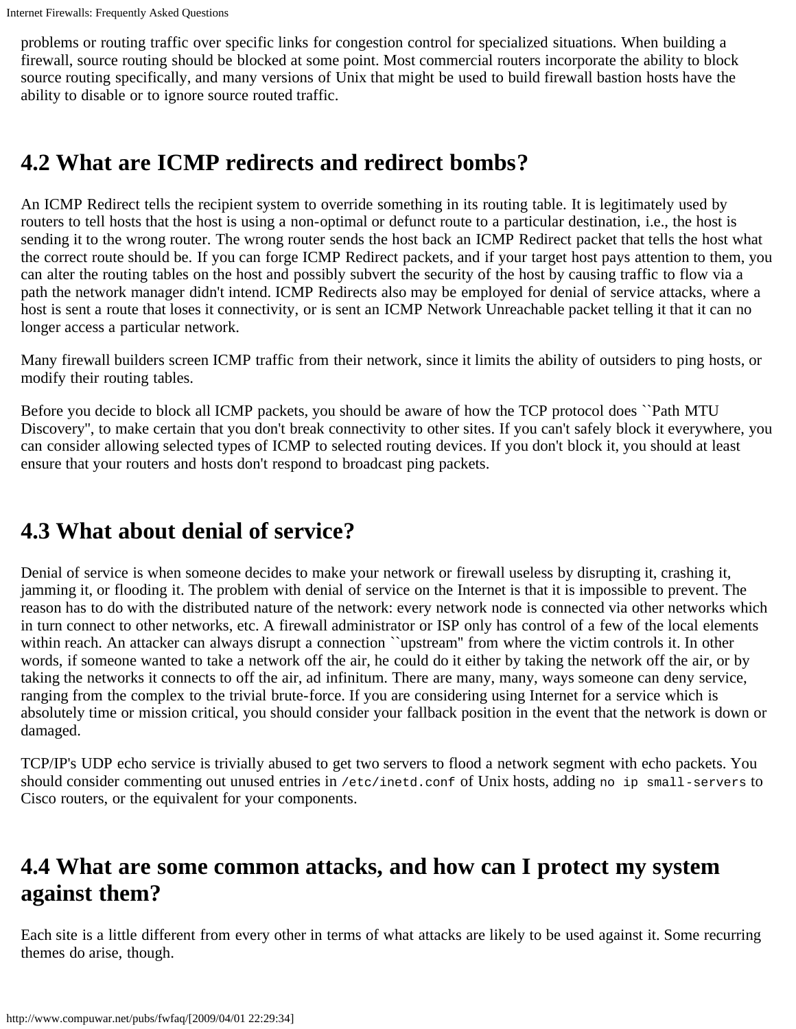problems or routing traffic over specific links for congestion control for specialized situations. When building a firewall, source routing should be blocked at some point. Most commercial routers incorporate the ability to block source routing specifically, and many versions of Unix that might be used to build firewall bastion hosts have the ability to disable or to ignore source routed traffic.

### **4.2 What are ICMP redirects and redirect bombs?**

An ICMP Redirect tells the recipient system to override something in its routing table. It is legitimately used by routers to tell hosts that the host is using a non-optimal or defunct route to a particular destination, i.e., the host is sending it to the wrong router. The wrong router sends the host back an ICMP Redirect packet that tells the host what the correct route should be. If you can forge ICMP Redirect packets, and if your target host pays attention to them, you can alter the routing tables on the host and possibly subvert the security of the host by causing traffic to flow via a path the network manager didn't intend. ICMP Redirects also may be employed for denial of service attacks, where a host is sent a route that loses it connectivity, or is sent an ICMP Network Unreachable packet telling it that it can no longer access a particular network.

Many firewall builders screen ICMP traffic from their network, since it limits the ability of outsiders to ping hosts, or modify their routing tables.

Before you decide to block all ICMP packets, you should be aware of how the TCP protocol does ``Path MTU Discovery'', to make certain that you don't break connectivity to other sites. If you can't safely block it everywhere, you can consider allowing selected types of ICMP to selected routing devices. If you don't block it, you should at least ensure that your routers and hosts don't respond to broadcast ping packets.

### **4.3 What about denial of service?**

Denial of service is when someone decides to make your network or firewall useless by disrupting it, crashing it, jamming it, or flooding it. The problem with denial of service on the Internet is that it is impossible to prevent. The reason has to do with the distributed nature of the network: every network node is connected via other networks which in turn connect to other networks, etc. A firewall administrator or ISP only has control of a few of the local elements within reach. An attacker can always disrupt a connection "upstream" from where the victim controls it. In other words, if someone wanted to take a network off the air, he could do it either by taking the network off the air, or by taking the networks it connects to off the air, ad infinitum. There are many, many, ways someone can deny service, ranging from the complex to the trivial brute-force. If you are considering using Internet for a service which is absolutely time or mission critical, you should consider your fallback position in the event that the network is down or damaged.

TCP/IP's UDP echo service is trivially abused to get two servers to flood a network segment with echo packets. You should consider commenting out unused entries in /etc/inetd.conf of Unix hosts, adding no ip small-servers to Cisco routers, or the equivalent for your components.

### **4.4 What are some common attacks, and how can I protect my system against them?**

Each site is a little different from every other in terms of what attacks are likely to be used against it. Some recurring themes do arise, though.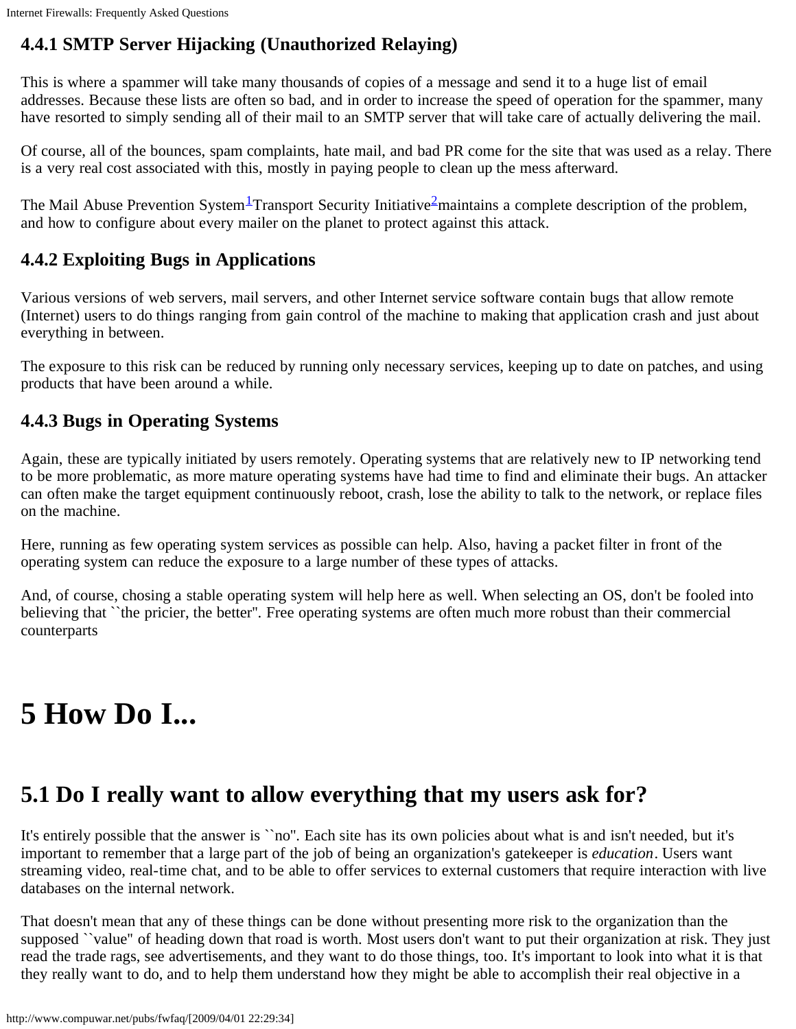### **4.4.1 SMTP Server Hijacking (Unauthorized Relaying)**

This is where a spammer will take many thousands of copies of a message and send it to a huge list of email addresses. Because these lists are often so bad, and in order to increase the speed of operation for the spammer, many have resorted to simply sending all of their mail to an SMTP server that will take care of actually delivering the mail.

Of course, all of the bounces, spam complaints, hate mail, and bad PR come for the site that was used as a relay. There is a very real cost associated with this, mostly in paying people to clean up the mess afterward.

The Mail Abuse Prevention System<sup>[1](#page-34-0)</sup>Transport Security Initiative<sup>[2](#page-34-1)</sup>maintains a complete description of the problem, and how to configure about every mailer on the planet to protect against this attack.

### **4.4.2 Exploiting Bugs in Applications**

Various versions of web servers, mail servers, and other Internet service software contain bugs that allow remote (Internet) users to do things ranging from gain control of the machine to making that application crash and just about everything in between.

The exposure to this risk can be reduced by running only necessary services, keeping up to date on patches, and using products that have been around a while.

### **4.4.3 Bugs in Operating Systems**

Again, these are typically initiated by users remotely. Operating systems that are relatively new to IP networking tend to be more problematic, as more mature operating systems have had time to find and eliminate their bugs. An attacker can often make the target equipment continuously reboot, crash, lose the ability to talk to the network, or replace files on the machine.

Here, running as few operating system services as possible can help. Also, having a packet filter in front of the operating system can reduce the exposure to a large number of these types of attacks.

And, of course, chosing a stable operating system will help here as well. When selecting an OS, don't be fooled into believing that ``the pricier, the better''. Free operating systems are often much more robust than their commercial counterparts

# **5 How Do I...**

### **5.1 Do I really want to allow everything that my users ask for?**

It's entirely possible that the answer is ``no''. Each site has its own policies about what is and isn't needed, but it's important to remember that a large part of the job of being an organization's gatekeeper is *education*. Users want streaming video, real-time chat, and to be able to offer services to external customers that require interaction with live databases on the internal network.

That doesn't mean that any of these things can be done without presenting more risk to the organization than the supposed "value" of heading down that road is worth. Most users don't want to put their organization at risk. They just read the trade rags, see advertisements, and they want to do those things, too. It's important to look into what it is that they really want to do, and to help them understand how they might be able to accomplish their real objective in a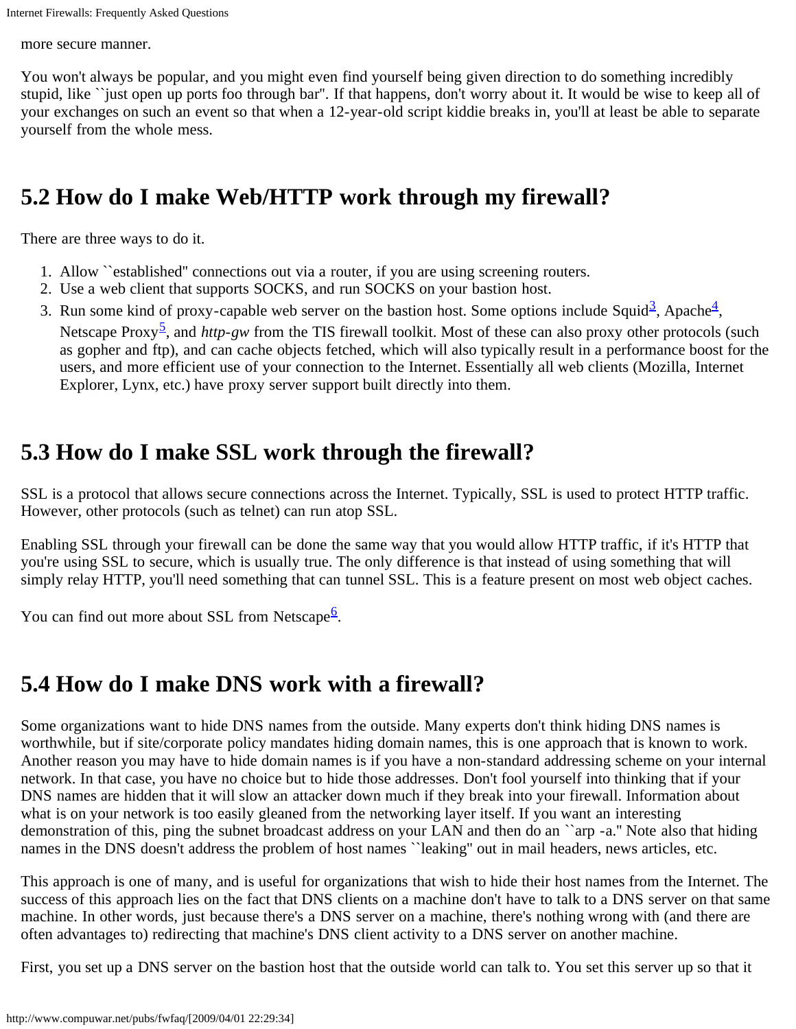more secure manner.

You won't always be popular, and you might even find yourself being given direction to do something incredibly stupid, like ``just open up ports foo through bar''. If that happens, don't worry about it. It would be wise to keep all of your exchanges on such an event so that when a 12-year-old script kiddie breaks in, you'll at least be able to separate yourself from the whole mess.

## **5.2 How do I make Web/HTTP work through my firewall?**

There are three ways to do it.

- 1. Allow ``established'' connections out via a router, if you are using screening routers.
- 2. Use a web client that supports SOCKS, and run SOCKS on your bastion host.
- [3](#page-34-2). Run some kind of proxy-capable web server on the bastion host. Some options include Squid<sup>3</sup>, Apache<sup>[4](#page-34-3)</sup>, Netscape Proxy<sup>5</sup>, and *http-gw* from the TIS firewall toolkit. Most of these can also proxy other protocols (such as gopher and ftp), and can cache objects fetched, which will also typically result in a performance boost for the users, and more efficient use of your connection to the Internet. Essentially all web clients (Mozilla, Internet Explorer, Lynx, etc.) have proxy server support built directly into them.

### **5.3 How do I make SSL work through the firewall?**

SSL is a protocol that allows secure connections across the Internet. Typically, SSL is used to protect HTTP traffic. However, other protocols (such as telnet) can run atop SSL.

Enabling SSL through your firewall can be done the same way that you would allow HTTP traffic, if it's HTTP that you're using SSL to secure, which is usually true. The only difference is that instead of using something that will simply relay HTTP, you'll need something that can tunnel SSL. This is a feature present on most web object caches.

You can find out more about SSL from Netscape<sup>6</sup>.

# **5.4 How do I make DNS work with a firewall?**

Some organizations want to hide DNS names from the outside. Many experts don't think hiding DNS names is worthwhile, but if site/corporate policy mandates hiding domain names, this is one approach that is known to work. Another reason you may have to hide domain names is if you have a non-standard addressing scheme on your internal network. In that case, you have no choice but to hide those addresses. Don't fool yourself into thinking that if your DNS names are hidden that it will slow an attacker down much if they break into your firewall. Information about what is on your network is too easily gleaned from the networking layer itself. If you want an interesting demonstration of this, ping the subnet broadcast address on your LAN and then do an ``arp -a.'' Note also that hiding names in the DNS doesn't address the problem of host names ``leaking'' out in mail headers, news articles, etc.

This approach is one of many, and is useful for organizations that wish to hide their host names from the Internet. The success of this approach lies on the fact that DNS clients on a machine don't have to talk to a DNS server on that same machine. In other words, just because there's a DNS server on a machine, there's nothing wrong with (and there are often advantages to) redirecting that machine's DNS client activity to a DNS server on another machine.

First, you set up a DNS server on the bastion host that the outside world can talk to. You set this server up so that it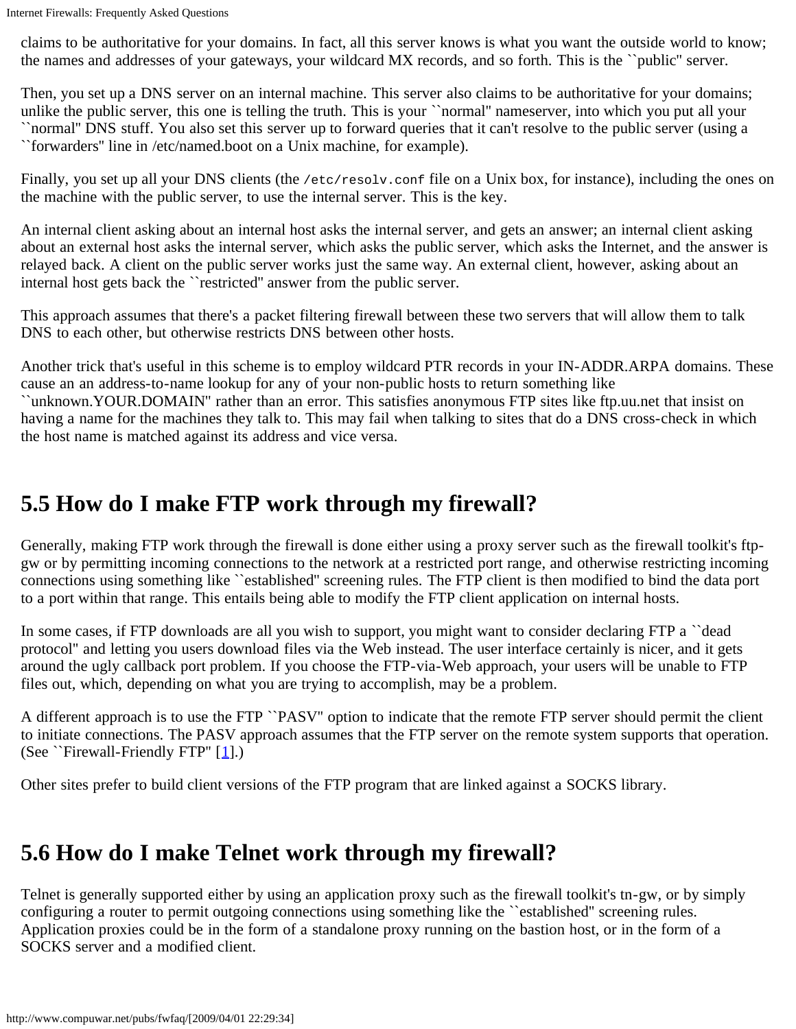claims to be authoritative for your domains. In fact, all this server knows is what you want the outside world to know; the names and addresses of your gateways, your wildcard MX records, and so forth. This is the ``public'' server.

Then, you set up a DNS server on an internal machine. This server also claims to be authoritative for your domains; unlike the public server, this one is telling the truth. This is your ``normal'' nameserver, into which you put all your ``normal'' DNS stuff. You also set this server up to forward queries that it can't resolve to the public server (using a ``forwarders'' line in /etc/named.boot on a Unix machine, for example).

Finally, you set up all your DNS clients (the /etc/resolv.conf file on a Unix box, for instance), including the ones on the machine with the public server, to use the internal server. This is the key.

An internal client asking about an internal host asks the internal server, and gets an answer; an internal client asking about an external host asks the internal server, which asks the public server, which asks the Internet, and the answer is relayed back. A client on the public server works just the same way. An external client, however, asking about an internal host gets back the ``restricted'' answer from the public server.

This approach assumes that there's a packet filtering firewall between these two servers that will allow them to talk DNS to each other, but otherwise restricts DNS between other hosts.

Another trick that's useful in this scheme is to employ wildcard PTR records in your IN-ADDR.ARPA domains. These cause an an address-to-name lookup for any of your non-public hosts to return something like ``unknown.YOUR.DOMAIN'' rather than an error. This satisfies anonymous FTP sites like ftp.uu.net that insist on having a name for the machines they talk to. This may fail when talking to sites that do a DNS cross-check in which the host name is matched against its address and vice versa.

### **5.5 How do I make FTP work through my firewall?**

Generally, making FTP work through the firewall is done either using a proxy server such as the firewall toolkit's ftpgw or by permitting incoming connections to the network at a restricted port range, and otherwise restricting incoming connections using something like ``established'' screening rules. The FTP client is then modified to bind the data port to a port within that range. This entails being able to modify the FTP client application on internal hosts.

In some cases, if FTP downloads are all you wish to support, you might want to consider declaring FTP a ``dead protocol'' and letting you users download files via the Web instead. The user interface certainly is nicer, and it gets around the ugly callback port problem. If you choose the FTP-via-Web approach, your users will be unable to FTP files out, which, depending on what you are trying to accomplish, may be a problem.

A different approach is to use the FTP ``PASV'' option to indicate that the remote FTP server should permit the client to initiate connections. The PASV approach assumes that the FTP server on the remote system supports that operation. (See ``Firewall-Friendly FTP" [[1\]](http://www.compuwar.net/pubs/fwfaq/firewalls-faq.bib#rfc1579).)

Other sites prefer to build client versions of the FTP program that are linked against a SOCKS library.

### **5.6 How do I make Telnet work through my firewall?**

Telnet is generally supported either by using an application proxy such as the firewall toolkit's tn-gw, or by simply configuring a router to permit outgoing connections using something like the ``established'' screening rules. Application proxies could be in the form of a standalone proxy running on the bastion host, or in the form of a SOCKS server and a modified client.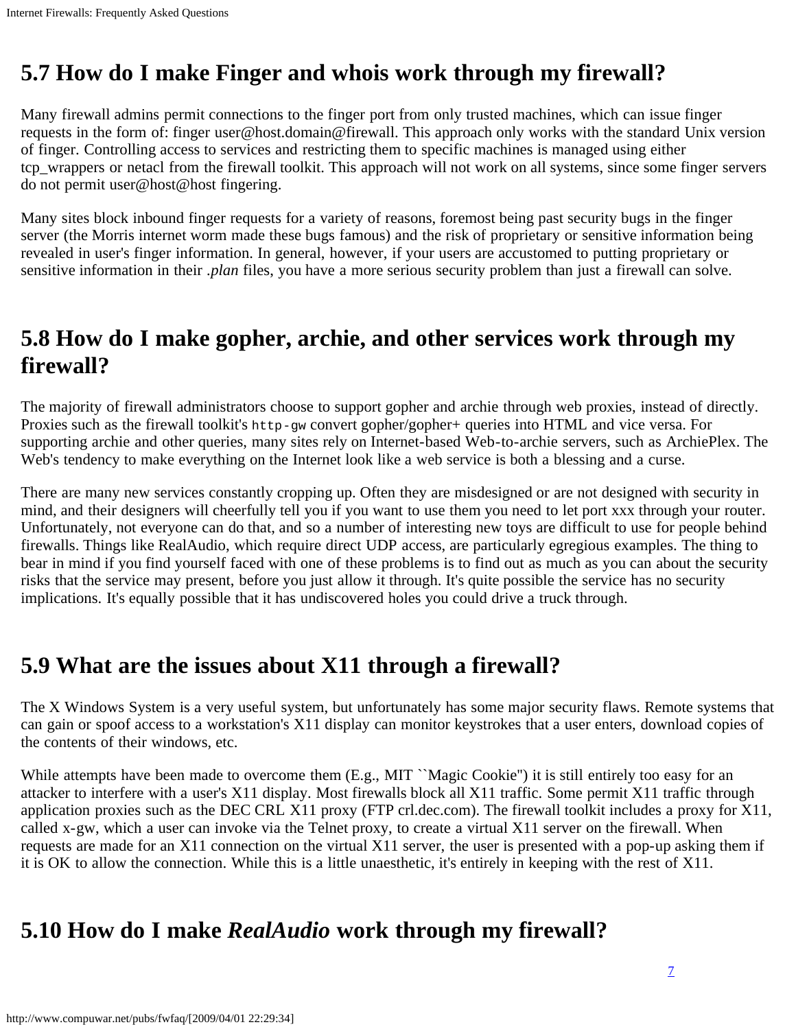### **5.7 How do I make Finger and whois work through my firewall?**

Many firewall admins permit connections to the finger port from only trusted machines, which can issue finger requests in the form of: finger user@host.domain@firewall. This approach only works with the standard Unix version of finger. Controlling access to services and restricting them to specific machines is managed using either tcp\_wrappers or netacl from the firewall toolkit. This approach will not work on all systems, since some finger servers do not permit user@host@host fingering.

Many sites block inbound finger requests for a variety of reasons, foremost being past security bugs in the finger server (the Morris internet worm made these bugs famous) and the risk of proprietary or sensitive information being revealed in user's finger information. In general, however, if your users are accustomed to putting proprietary or sensitive information in their *.plan* files, you have a more serious security problem than just a firewall can solve.

### **5.8 How do I make gopher, archie, and other services work through my firewall?**

The majority of firewall administrators choose to support gopher and archie through web proxies, instead of directly. Proxies such as the firewall toolkit's http-gw convert gopher/gopher+ queries into HTML and vice versa. For supporting archie and other queries, many sites rely on Internet-based Web-to-archie servers, such as ArchiePlex. The Web's tendency to make everything on the Internet look like a web service is both a blessing and a curse.

There are many new services constantly cropping up. Often they are misdesigned or are not designed with security in mind, and their designers will cheerfully tell you if you want to use them you need to let port xxx through your router. Unfortunately, not everyone can do that, and so a number of interesting new toys are difficult to use for people behind firewalls. Things like RealAudio, which require direct UDP access, are particularly egregious examples. The thing to bear in mind if you find yourself faced with one of these problems is to find out as much as you can about the security risks that the service may present, before you just allow it through. It's quite possible the service has no security implications. It's equally possible that it has undiscovered holes you could drive a truck through.

## **5.9 What are the issues about X11 through a firewall?**

The X Windows System is a very useful system, but unfortunately has some major security flaws. Remote systems that can gain or spoof access to a workstation's X11 display can monitor keystrokes that a user enters, download copies of the contents of their windows, etc.

While attempts have been made to overcome them (E.g., MIT ``Magic Cookie'') it is still entirely too easy for an attacker to interfere with a user's X11 display. Most firewalls block all X11 traffic. Some permit X11 traffic through application proxies such as the DEC CRL X11 proxy (FTP crl.dec.com). The firewall toolkit includes a proxy for X11, called x-gw, which a user can invoke via the Telnet proxy, to create a virtual X11 server on the firewall. When requests are made for an X11 connection on the virtual X11 server, the user is presented with a pop-up asking them if it is OK to allow the connection. While this is a little unaesthetic, it's entirely in keeping with the rest of X11.

### **5.10 How do I make** *RealAudio* **work through my firewall?**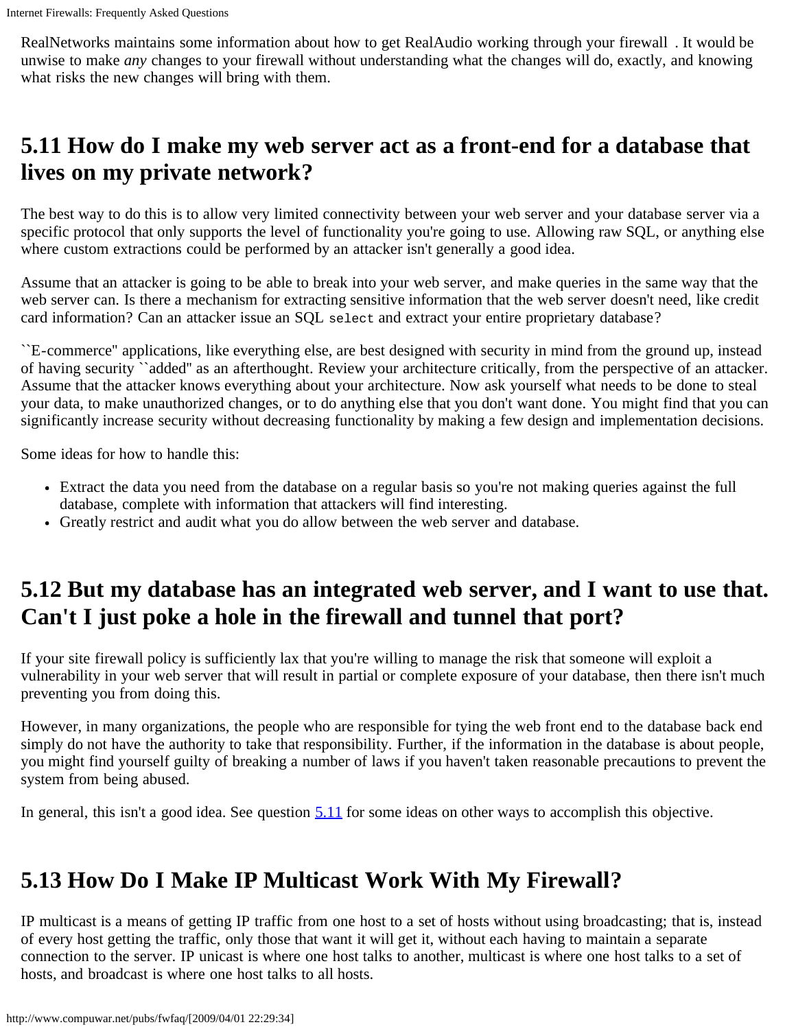RealNetworks maintains some information about how to get RealAudio working through your firewall . It would be unwise to make *any* changes to your firewall without understanding what the changes will do, exactly, and knowing what risks the new changes will bring with them.

# **5.11 How do I make my web server act as a front-end for a database that lives on my private network?**

The best way to do this is to allow very limited connectivity between your web server and your database server via a specific protocol that only supports the level of functionality you're going to use. Allowing raw SQL, or anything else where custom extractions could be performed by an attacker isn't generally a good idea.

Assume that an attacker is going to be able to break into your web server, and make queries in the same way that the web server can. Is there a mechanism for extracting sensitive information that the web server doesn't need, like credit card information? Can an attacker issue an SQL select and extract your entire proprietary database?

``E-commerce'' applications, like everything else, are best designed with security in mind from the ground up, instead of having security ``added'' as an afterthought. Review your architecture critically, from the perspective of an attacker. Assume that the attacker knows everything about your architecture. Now ask yourself what needs to be done to steal your data, to make unauthorized changes, or to do anything else that you don't want done. You might find that you can significantly increase security without decreasing functionality by making a few design and implementation decisions.

Some ideas for how to handle this:

- Extract the data you need from the database on a regular basis so you're not making queries against the full database, complete with information that attackers will find interesting.
- Greatly restrict and audit what you do allow between the web server and database.

## **5.12 But my database has an integrated web server, and I want to use that. Can't I just poke a hole in the firewall and tunnel that port?**

If your site firewall policy is sufficiently lax that you're willing to manage the risk that someone will exploit a vulnerability in your web server that will result in partial or complete exposure of your database, then there isn't much preventing you from doing this.

However, in many organizations, the people who are responsible for tying the web front end to the database back end simply do not have the authority to take that responsibility. Further, if the information in the database is about people, you might find yourself guilty of breaking a number of laws if you haven't taken reasonable precautions to prevent the system from being abused.

In general, this isn't a good idea. See question  $5.11$  for some ideas on other ways to accomplish this objective.

### **5.13 How Do I Make IP Multicast Work With My Firewall?**

IP multicast is a means of getting IP traffic from one host to a set of hosts without using broadcasting; that is, instead of every host getting the traffic, only those that want it will get it, without each having to maintain a separate connection to the server. IP unicast is where one host talks to another, multicast is where one host talks to a set of hosts, and broadcast is where one host talks to all hosts.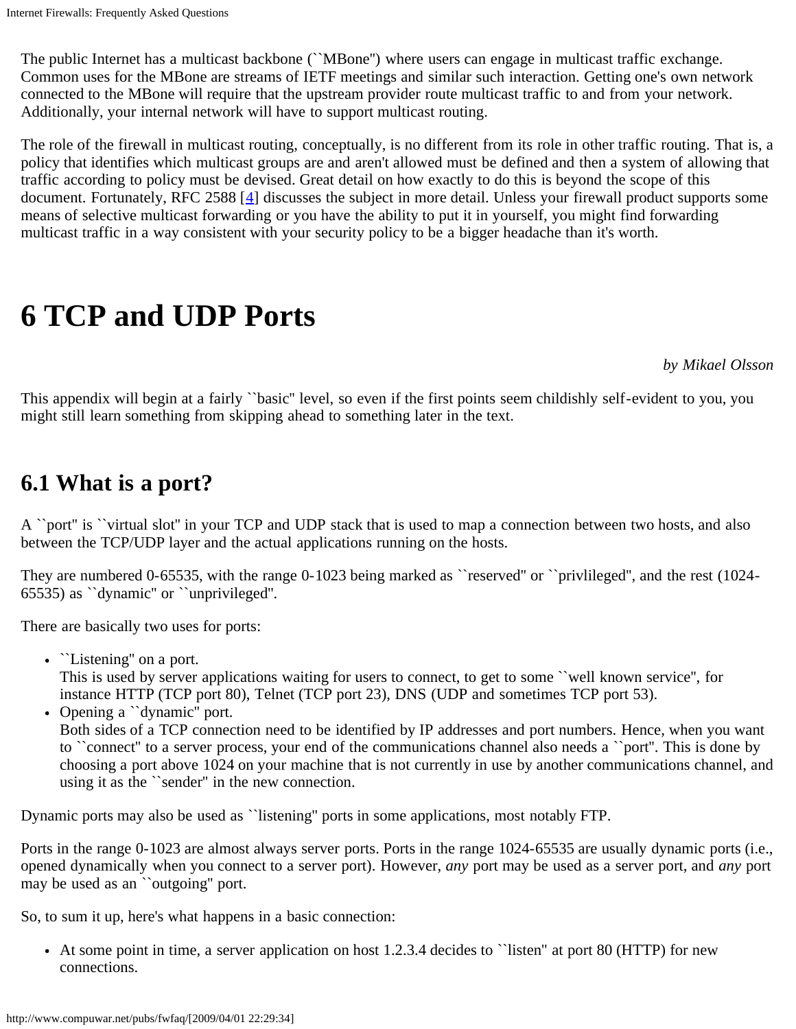The public Internet has a multicast backbone (``MBone'') where users can engage in multicast traffic exchange. Common uses for the MBone are streams of IETF meetings and similar such interaction. Getting one's own network connected to the MBone will require that the upstream provider route multicast traffic to and from your network. Additionally, your internal network will have to support multicast routing.

The role of the firewall in multicast routing, conceptually, is no different from its role in other traffic routing. That is, a policy that identifies which multicast groups are and aren't allowed must be defined and then a system of allowing that traffic according to policy must be devised. Great detail on how exactly to do this is beyond the scope of this document. Fortunately, RFC 2588 [[4](http://www.compuwar.net/pubs/fwfaq/firewalls-faq.bib#rfc2588)] discusses the subject in more detail. Unless your firewall product supports some means of selective multicast forwarding or you have the ability to put it in yourself, you might find forwarding multicast traffic in a way consistent with your security policy to be a bigger headache than it's worth.

# **6 TCP and UDP Ports**

*by Mikael Olsson*

This appendix will begin at a fairly ``basic'' level, so even if the first points seem childishly self-evident to you, you might still learn something from skipping ahead to something later in the text.

### **6.1 What is a port?**

A ``port'' is ``virtual slot'' in your TCP and UDP stack that is used to map a connection between two hosts, and also between the TCP/UDP layer and the actual applications running on the hosts.

They are numbered 0-65535, with the range 0-1023 being marked as ``reserved'' or ``privlileged'', and the rest (1024- 65535) as ``dynamic'' or ``unprivileged''.

There are basically two uses for ports:

- "Listening" on a port. This is used by server applications waiting for users to connect, to get to some ``well known service'', for instance HTTP (TCP port 80), Telnet (TCP port 23), DNS (UDP and sometimes TCP port 53).
- Opening a ``dynamic'' port. Both sides of a TCP connection need to be identified by IP addresses and port numbers. Hence, when you want to ``connect'' to a server process, your end of the communications channel also needs a ``port''. This is done by choosing a port above 1024 on your machine that is not currently in use by another communications channel, and using it as the ``sender'' in the new connection.

Dynamic ports may also be used as ``listening'' ports in some applications, most notably FTP.

Ports in the range 0-1023 are almost always server ports. Ports in the range 1024-65535 are usually dynamic ports (i.e., opened dynamically when you connect to a server port). However, *any* port may be used as a server port, and *any* port may be used as an ``outgoing'' port.

So, to sum it up, here's what happens in a basic connection:

At some point in time, a server application on host 1.2.3.4 decides to ``listen'' at port 80 (HTTP) for new connections.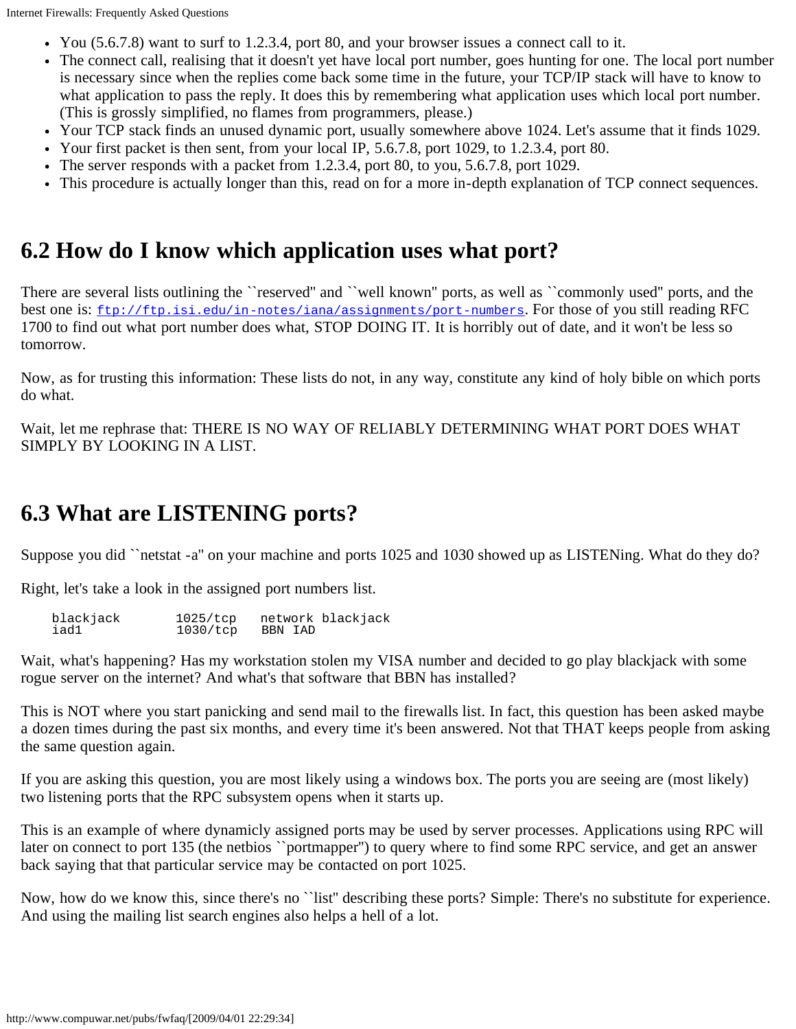- You (5.6.7.8) want to surf to 1.2.3.4, port 80, and your browser issues a connect call to it.
- The connect call, realising that it doesn't yet have local port number, goes hunting for one. The local port number is necessary since when the replies come back some time in the future, your TCP/IP stack will have to know to what application to pass the reply. It does this by remembering what application uses which local port number. (This is grossly simplified, no flames from programmers, please.)
- Your TCP stack finds an unused dynamic port, usually somewhere above 1024. Let's assume that it finds 1029.
- Your first packet is then sent, from your local IP, 5.6.7.8, port 1029, to 1.2.3.4, port 80.
- $\bullet$  The server responds with a packet from 1.2.3.4, port 80, to you, 5.6.7.8, port 1029.
- This procedure is actually longer than this, read on for a more in-depth explanation of TCP connect sequences.

# **6.2 How do I know which application uses what port?**

There are several lists outlining the ``reserved'' and ``well known'' ports, as well as ``commonly used'' ports, and the best one is: <ftp://ftp.isi.edu/in-notes/iana/assignments/port-numbers>. For those of you still reading RFC 1700 to find out what port number does what, STOP DOING IT. It is horribly out of date, and it won't be less so tomorrow.

Now, as for trusting this information: These lists do not, in any way, constitute any kind of holy bible on which ports do what.

Wait, let me rephrase that: THERE IS NO WAY OF RELIABLY DETERMINING WHAT PORT DOES WHAT SIMPLY BY LOOKING IN A LIST.

# **6.3 What are LISTENING ports?**

Suppose you did ``netstat -a'' on your machine and ports 1025 and 1030 showed up as LISTENing. What do they do?

Right, let's take a look in the assigned port numbers list.

| blackjack | 1025/tcp |         | network blackjack |
|-----------|----------|---------|-------------------|
| iad1      | 1030/tcp | BBN IAD |                   |

Wait, what's happening? Has my workstation stolen my VISA number and decided to go play blackjack with some rogue server on the internet? And what's that software that BBN has installed?

This is NOT where you start panicking and send mail to the firewalls list. In fact, this question has been asked maybe a dozen times during the past six months, and every time it's been answered. Not that THAT keeps people from asking the same question again.

If you are asking this question, you are most likely using a windows box. The ports you are seeing are (most likely) two listening ports that the RPC subsystem opens when it starts up.

This is an example of where dynamicly assigned ports may be used by server processes. Applications using RPC will later on connect to port 135 (the netbios "portmapper") to query where to find some RPC service, and get an answer back saying that that particular service may be contacted on port 1025.

Now, how do we know this, since there's no ``list'' describing these ports? Simple: There's no substitute for experience. And using the mailing list search engines also helps a hell of a lot.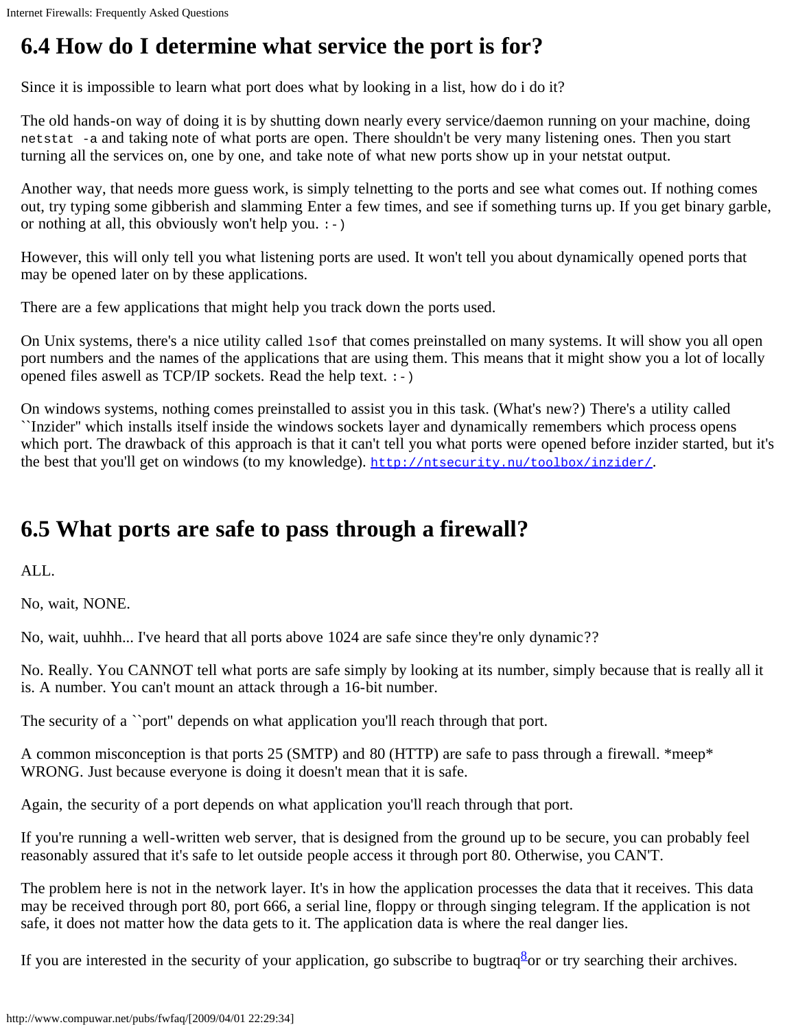## **6.4 How do I determine what service the port is for?**

Since it is impossible to learn what port does what by looking in a list, how do i do it?

The old hands-on way of doing it is by shutting down nearly every service/daemon running on your machine, doing netstat -a and taking note of what ports are open. There shouldn't be very many listening ones. Then you start turning all the services on, one by one, and take note of what new ports show up in your netstat output.

Another way, that needs more guess work, is simply telnetting to the ports and see what comes out. If nothing comes out, try typing some gibberish and slamming Enter a few times, and see if something turns up. If you get binary garble, or nothing at all, this obviously won't help you. :-)

However, this will only tell you what listening ports are used. It won't tell you about dynamically opened ports that may be opened later on by these applications.

There are a few applications that might help you track down the ports used.

On Unix systems, there's a nice utility called lsof that comes preinstalled on many systems. It will show you all open port numbers and the names of the applications that are using them. This means that it might show you a lot of locally opened files aswell as TCP/IP sockets. Read the help text. :-)

On windows systems, nothing comes preinstalled to assist you in this task. (What's new?) There's a utility called ``Inzider'' which installs itself inside the windows sockets layer and dynamically remembers which process opens which port. The drawback of this approach is that it can't tell you what ports were opened before inzider started, but it's the best that you'll get on windows (to my knowledge). <http://ntsecurity.nu/toolbox/inzider/>.

## **6.5 What ports are safe to pass through a firewall?**

ALL.

No, wait, NONE.

No, wait, uuhhh... I've heard that all ports above 1024 are safe since they're only dynamic??

No. Really. You CANNOT tell what ports are safe simply by looking at its number, simply because that is really all it is. A number. You can't mount an attack through a 16-bit number.

The security of a "port" depends on what application you'll reach through that port.

A common misconception is that ports 25 (SMTP) and 80 (HTTP) are safe to pass through a firewall. \*meep\* WRONG. Just because everyone is doing it doesn't mean that it is safe.

Again, the security of a port depends on what application you'll reach through that port.

If you're running a well-written web server, that is designed from the ground up to be secure, you can probably feel reasonably assured that it's safe to let outside people access it through port 80. Otherwise, you CAN'T.

The problem here is not in the network layer. It's in how the application processes the data that it receives. This data may be received through port 80, port 666, a serial line, floppy or through singing telegram. If the application is not safe, it does not matter how the data gets to it. The application data is where the real danger lies.

If you are interested in the security of your application, go subscribe to bugtraq<sup>[8](#page-34-7)</sup>or or try searching their archives.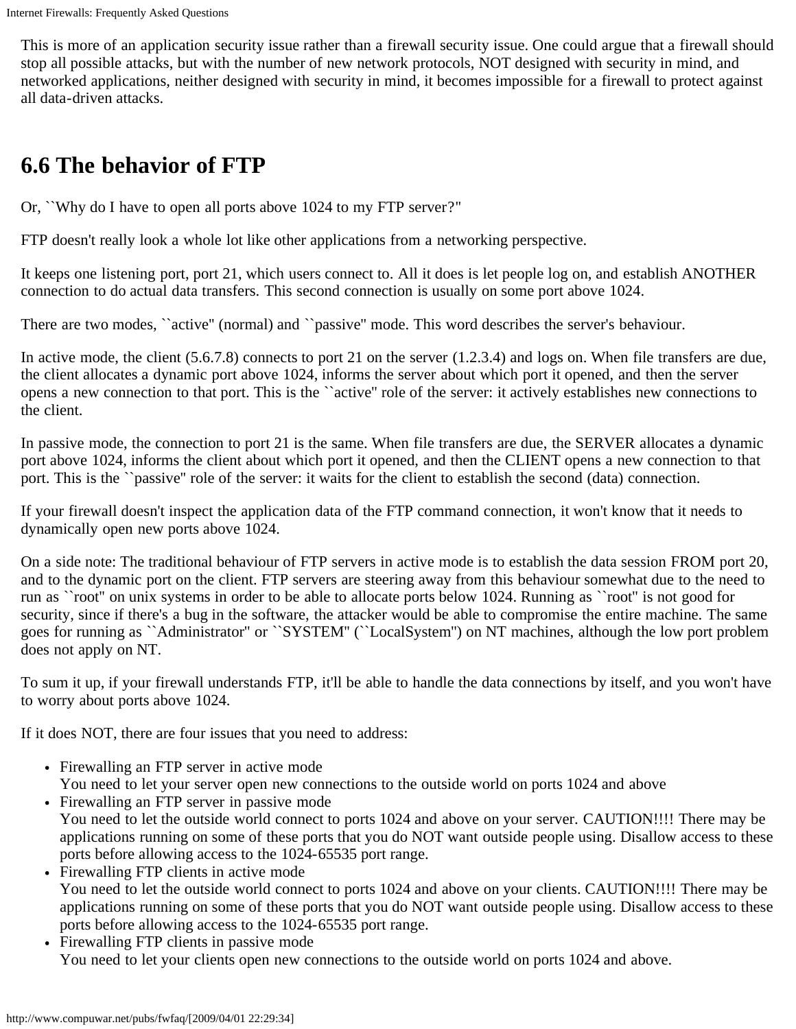This is more of an application security issue rather than a firewall security issue. One could argue that a firewall should stop all possible attacks, but with the number of new network protocols, NOT designed with security in mind, and networked applications, neither designed with security in mind, it becomes impossible for a firewall to protect against all data-driven attacks.

# **6.6 The behavior of FTP**

Or, ``Why do I have to open all ports above 1024 to my FTP server?''

FTP doesn't really look a whole lot like other applications from a networking perspective.

It keeps one listening port, port 21, which users connect to. All it does is let people log on, and establish ANOTHER connection to do actual data transfers. This second connection is usually on some port above 1024.

There are two modes, ``active'' (normal) and ``passive'' mode. This word describes the server's behaviour.

In active mode, the client (5.6.7.8) connects to port 21 on the server (1.2.3.4) and logs on. When file transfers are due, the client allocates a dynamic port above 1024, informs the server about which port it opened, and then the server opens a new connection to that port. This is the ``active'' role of the server: it actively establishes new connections to the client.

In passive mode, the connection to port 21 is the same. When file transfers are due, the SERVER allocates a dynamic port above 1024, informs the client about which port it opened, and then the CLIENT opens a new connection to that port. This is the ``passive'' role of the server: it waits for the client to establish the second (data) connection.

If your firewall doesn't inspect the application data of the FTP command connection, it won't know that it needs to dynamically open new ports above 1024.

On a side note: The traditional behaviour of FTP servers in active mode is to establish the data session FROM port 20, and to the dynamic port on the client. FTP servers are steering away from this behaviour somewhat due to the need to run as ``root'' on unix systems in order to be able to allocate ports below 1024. Running as ``root'' is not good for security, since if there's a bug in the software, the attacker would be able to compromise the entire machine. The same goes for running as ``Administrator'' or ``SYSTEM'' (``LocalSystem'') on NT machines, although the low port problem does not apply on NT.

To sum it up, if your firewall understands FTP, it'll be able to handle the data connections by itself, and you won't have to worry about ports above 1024.

If it does NOT, there are four issues that you need to address:

- Firewalling an FTP server in active mode You need to let your server open new connections to the outside world on ports 1024 and above
- Firewalling an FTP server in passive mode You need to let the outside world connect to ports 1024 and above on your server. CAUTION!!!! There may be applications running on some of these ports that you do NOT want outside people using. Disallow access to these ports before allowing access to the 1024-65535 port range.
- Firewalling FTP clients in active mode You need to let the outside world connect to ports 1024 and above on your clients. CAUTION!!!! There may be applications running on some of these ports that you do NOT want outside people using. Disallow access to these ports before allowing access to the 1024-65535 port range.
- Firewalling FTP clients in passive mode You need to let your clients open new connections to the outside world on ports 1024 and above.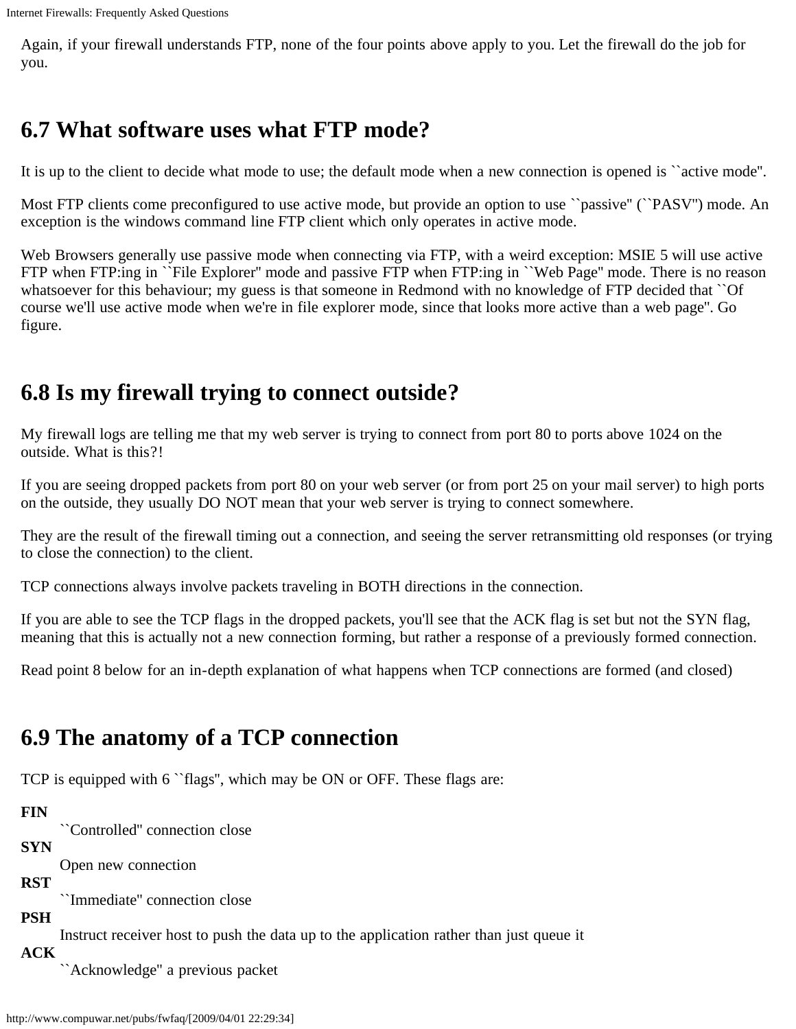Again, if your firewall understands FTP, none of the four points above apply to you. Let the firewall do the job for you.

### **6.7 What software uses what FTP mode?**

It is up to the client to decide what mode to use; the default mode when a new connection is opened is ``active mode''.

Most FTP clients come preconfigured to use active mode, but provide an option to use ``passive'' (``PASV'') mode. An exception is the windows command line FTP client which only operates in active mode.

Web Browsers generally use passive mode when connecting via FTP, with a weird exception: MSIE 5 will use active FTP when FTP:ing in ``File Explorer'' mode and passive FTP when FTP:ing in ``Web Page'' mode. There is no reason whatsoever for this behaviour; my guess is that someone in Redmond with no knowledge of FTP decided that ``Of course we'll use active mode when we're in file explorer mode, since that looks more active than a web page''. Go figure.

### **6.8 Is my firewall trying to connect outside?**

My firewall logs are telling me that my web server is trying to connect from port 80 to ports above 1024 on the outside. What is this?!

If you are seeing dropped packets from port 80 on your web server (or from port 25 on your mail server) to high ports on the outside, they usually DO NOT mean that your web server is trying to connect somewhere.

They are the result of the firewall timing out a connection, and seeing the server retransmitting old responses (or trying to close the connection) to the client.

TCP connections always involve packets traveling in BOTH directions in the connection.

If you are able to see the TCP flags in the dropped packets, you'll see that the ACK flag is set but not the SYN flag, meaning that this is actually not a new connection forming, but rather a response of a previously formed connection.

Read point 8 below for an in-depth explanation of what happens when TCP connections are formed (and closed)

### **6.9 The anatomy of a TCP connection**

TCP is equipped with 6 ``flags'', which may be ON or OFF. These flags are:

```
FIN
```
``Controlled'' connection close

**SYN**

Open new connection

**RST**

``Immediate'' connection close

**PSH**

Instruct receiver host to push the data up to the application rather than just queue it

**ACK**

``Acknowledge'' a previous packet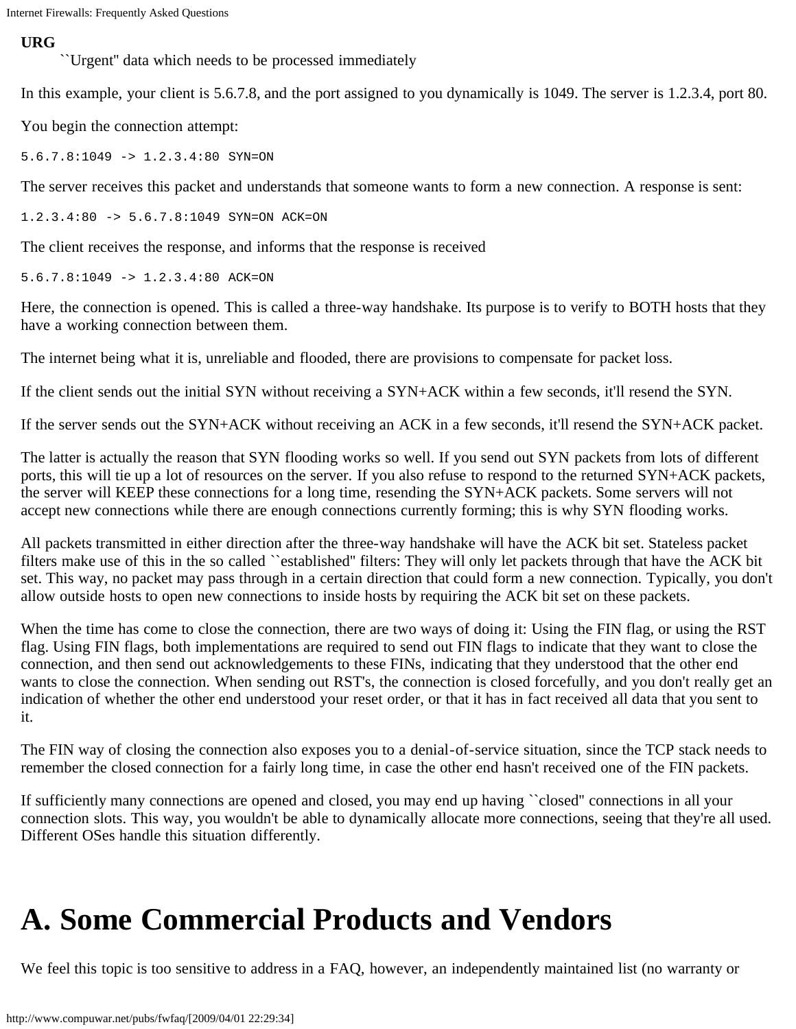#### **URG**

``Urgent'' data which needs to be processed immediately

In this example, your client is 5.6.7.8, and the port assigned to you dynamically is 1049. The server is 1.2.3.4, port 80.

You begin the connection attempt:

5.6.7.8:1049 -> 1.2.3.4:80 SYN=ON

The server receives this packet and understands that someone wants to form a new connection. A response is sent:

1.2.3.4:80 -> 5.6.7.8:1049 SYN=ON ACK=ON

The client receives the response, and informs that the response is received

5.6.7.8:1049 -> 1.2.3.4:80 ACK=ON

Here, the connection is opened. This is called a three-way handshake. Its purpose is to verify to BOTH hosts that they have a working connection between them.

The internet being what it is, unreliable and flooded, there are provisions to compensate for packet loss.

If the client sends out the initial SYN without receiving a SYN+ACK within a few seconds, it'll resend the SYN.

If the server sends out the SYN+ACK without receiving an ACK in a few seconds, it'll resend the SYN+ACK packet.

The latter is actually the reason that SYN flooding works so well. If you send out SYN packets from lots of different ports, this will tie up a lot of resources on the server. If you also refuse to respond to the returned SYN+ACK packets, the server will KEEP these connections for a long time, resending the SYN+ACK packets. Some servers will not accept new connections while there are enough connections currently forming; this is why SYN flooding works.

All packets transmitted in either direction after the three-way handshake will have the ACK bit set. Stateless packet filters make use of this in the so called ``established'' filters: They will only let packets through that have the ACK bit set. This way, no packet may pass through in a certain direction that could form a new connection. Typically, you don't allow outside hosts to open new connections to inside hosts by requiring the ACK bit set on these packets.

When the time has come to close the connection, there are two ways of doing it: Using the FIN flag, or using the RST flag. Using FIN flags, both implementations are required to send out FIN flags to indicate that they want to close the connection, and then send out acknowledgements to these FINs, indicating that they understood that the other end wants to close the connection. When sending out RST's, the connection is closed forcefully, and you don't really get an indication of whether the other end understood your reset order, or that it has in fact received all data that you sent to it.

The FIN way of closing the connection also exposes you to a denial-of-service situation, since the TCP stack needs to remember the closed connection for a fairly long time, in case the other end hasn't received one of the FIN packets.

If sufficiently many connections are opened and closed, you may end up having ``closed'' connections in all your connection slots. This way, you wouldn't be able to dynamically allocate more connections, seeing that they're all used. Different OSes handle this situation differently.

# **A. Some Commercial Products and Vendors**

We feel this topic is too sensitive to address in a FAQ, however, an independently maintained list (no warranty or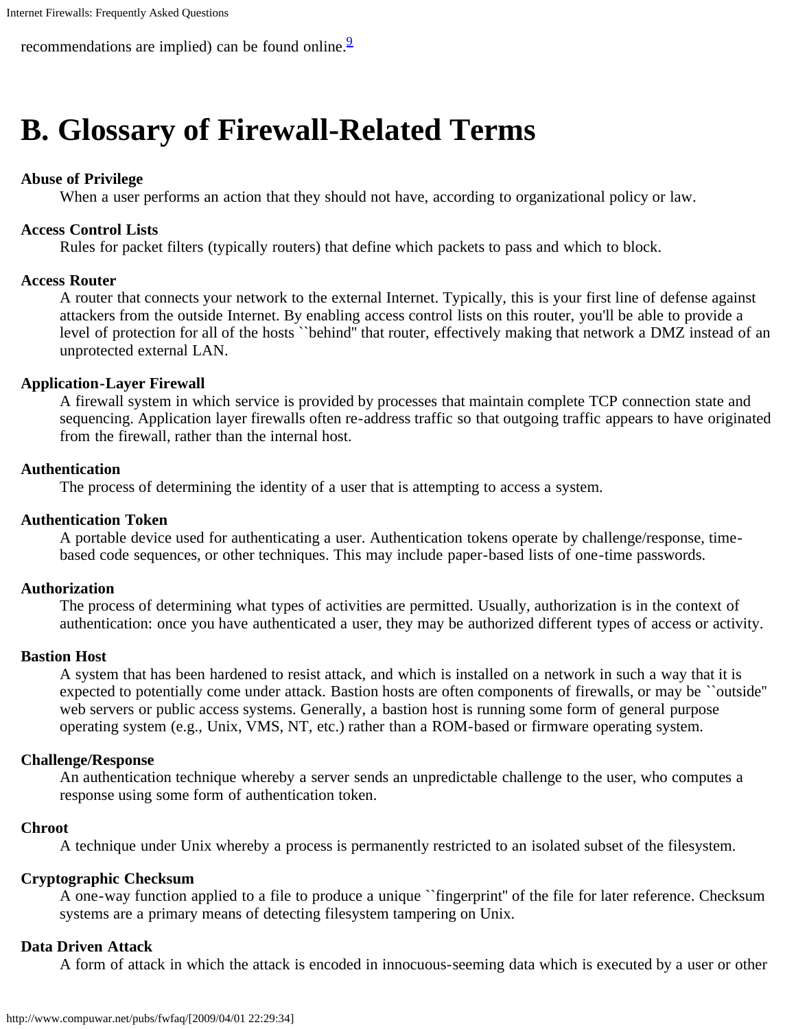recommendations are implied) can be found online. $\frac{9}{2}$  $\frac{9}{2}$  $\frac{9}{2}$ 

# **B. Glossary of Firewall-Related Terms**

#### **Abuse of Privilege**

When a user performs an action that they should not have, according to organizational policy or law.

#### **Access Control Lists**

Rules for packet filters (typically routers) that define which packets to pass and which to block.

#### **Access Router**

A router that connects your network to the external Internet. Typically, this is your first line of defense against attackers from the outside Internet. By enabling access control lists on this router, you'll be able to provide a level of protection for all of the hosts ``behind'' that router, effectively making that network a DMZ instead of an unprotected external LAN.

#### **Application-Layer Firewall**

A firewall system in which service is provided by processes that maintain complete TCP connection state and sequencing. Application layer firewalls often re-address traffic so that outgoing traffic appears to have originated from the firewall, rather than the internal host.

#### **Authentication**

The process of determining the identity of a user that is attempting to access a system.

#### **Authentication Token**

A portable device used for authenticating a user. Authentication tokens operate by challenge/response, timebased code sequences, or other techniques. This may include paper-based lists of one-time passwords.

#### **Authorization**

The process of determining what types of activities are permitted. Usually, authorization is in the context of authentication: once you have authenticated a user, they may be authorized different types of access or activity.

#### **Bastion Host**

A system that has been hardened to resist attack, and which is installed on a network in such a way that it is expected to potentially come under attack. Bastion hosts are often components of firewalls, or may be ``outside'' web servers or public access systems. Generally, a bastion host is running some form of general purpose operating system (e.g., Unix, VMS, NT, etc.) rather than a ROM-based or firmware operating system.

#### **Challenge/Response**

An authentication technique whereby a server sends an unpredictable challenge to the user, who computes a response using some form of authentication token.

#### **Chroot**

A technique under Unix whereby a process is permanently restricted to an isolated subset of the filesystem.

#### **Cryptographic Checksum**

A one-way function applied to a file to produce a unique ``fingerprint'' of the file for later reference. Checksum systems are a primary means of detecting filesystem tampering on Unix.

#### **Data Driven Attack**

A form of attack in which the attack is encoded in innocuous-seeming data which is executed by a user or other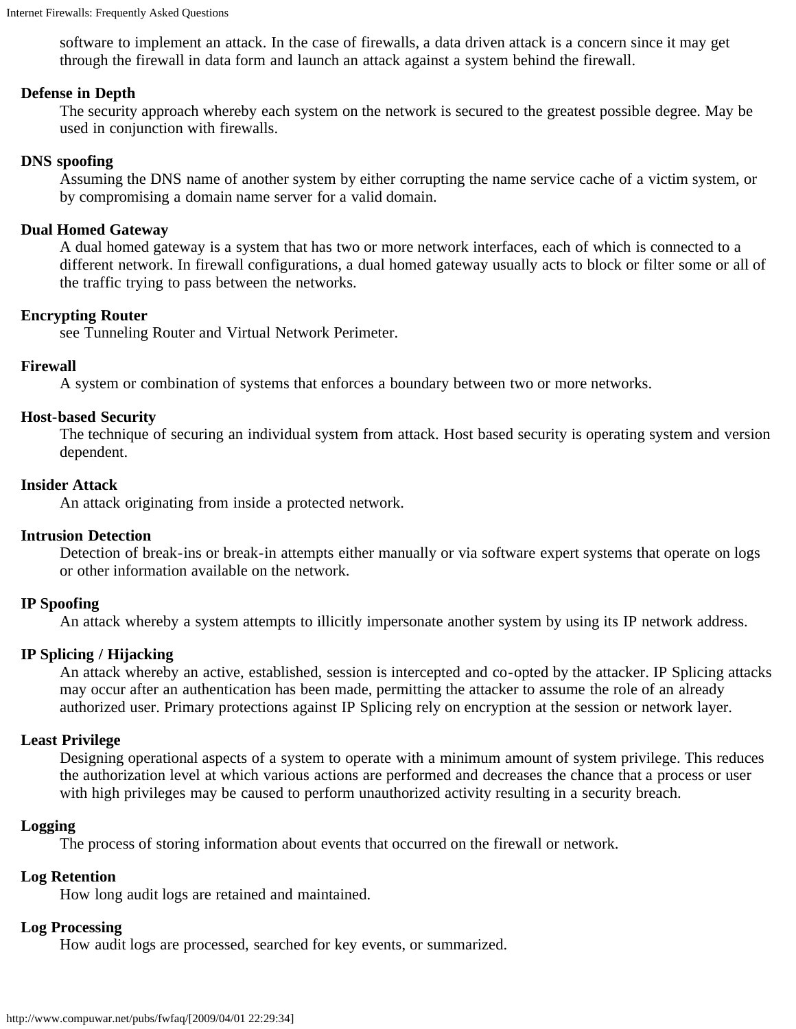software to implement an attack. In the case of firewalls, a data driven attack is a concern since it may get through the firewall in data form and launch an attack against a system behind the firewall.

#### **Defense in Depth**

The security approach whereby each system on the network is secured to the greatest possible degree. May be used in conjunction with firewalls.

#### **DNS spoofing**

Assuming the DNS name of another system by either corrupting the name service cache of a victim system, or by compromising a domain name server for a valid domain.

#### **Dual Homed Gateway**

A dual homed gateway is a system that has two or more network interfaces, each of which is connected to a different network. In firewall configurations, a dual homed gateway usually acts to block or filter some or all of the traffic trying to pass between the networks.

#### **Encrypting Router**

see Tunneling Router and Virtual Network Perimeter.

#### **Firewall**

A system or combination of systems that enforces a boundary between two or more networks.

#### **Host-based Security**

The technique of securing an individual system from attack. Host based security is operating system and version dependent.

#### **Insider Attack**

An attack originating from inside a protected network.

#### **Intrusion Detection**

Detection of break-ins or break-in attempts either manually or via software expert systems that operate on logs or other information available on the network.

### **IP Spoofing**

An attack whereby a system attempts to illicitly impersonate another system by using its IP network address.

### **IP Splicing / Hijacking**

An attack whereby an active, established, session is intercepted and co-opted by the attacker. IP Splicing attacks may occur after an authentication has been made, permitting the attacker to assume the role of an already authorized user. Primary protections against IP Splicing rely on encryption at the session or network layer.

#### **Least Privilege**

Designing operational aspects of a system to operate with a minimum amount of system privilege. This reduces the authorization level at which various actions are performed and decreases the chance that a process or user with high privileges may be caused to perform unauthorized activity resulting in a security breach.

#### **Logging**

The process of storing information about events that occurred on the firewall or network.

#### **Log Retention**

How long audit logs are retained and maintained.

#### **Log Processing**

How audit logs are processed, searched for key events, or summarized.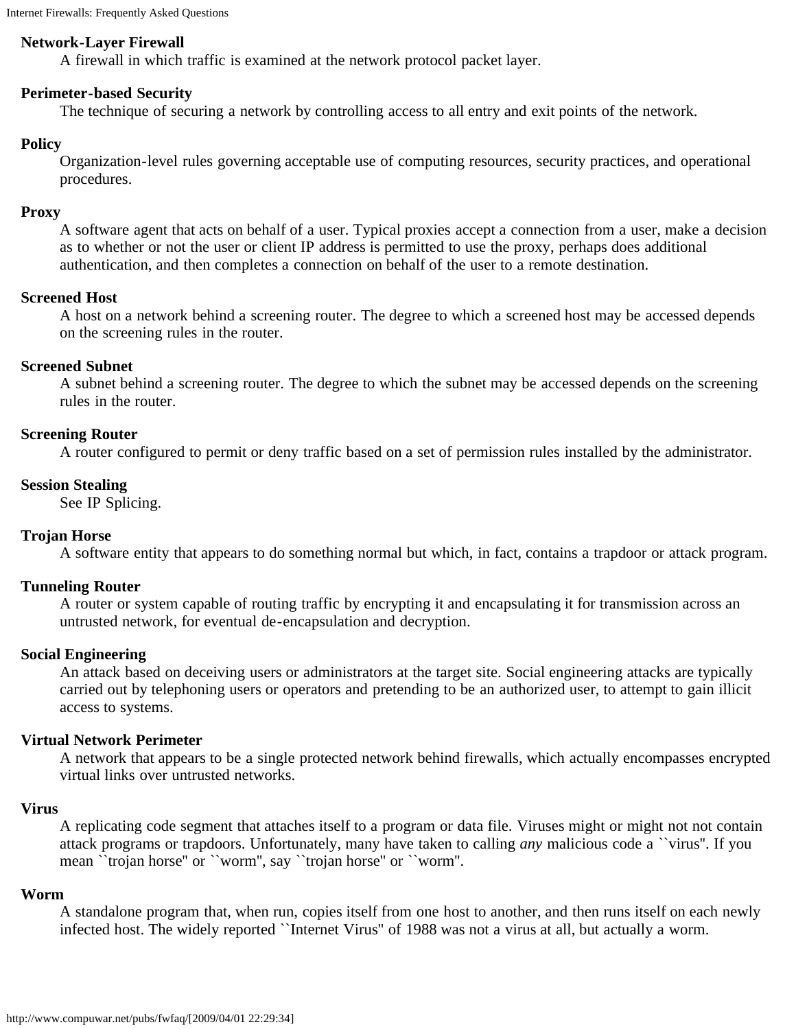#### **Network-Layer Firewall**

A firewall in which traffic is examined at the network protocol packet layer.

#### **Perimeter-based Security**

The technique of securing a network by controlling access to all entry and exit points of the network.

#### **Policy**

Organization-level rules governing acceptable use of computing resources, security practices, and operational procedures.

#### **Proxy**

A software agent that acts on behalf of a user. Typical proxies accept a connection from a user, make a decision as to whether or not the user or client IP address is permitted to use the proxy, perhaps does additional authentication, and then completes a connection on behalf of the user to a remote destination.

#### **Screened Host**

A host on a network behind a screening router. The degree to which a screened host may be accessed depends on the screening rules in the router.

#### **Screened Subnet**

A subnet behind a screening router. The degree to which the subnet may be accessed depends on the screening rules in the router.

#### **Screening Router**

A router configured to permit or deny traffic based on a set of permission rules installed by the administrator.

#### **Session Stealing**

See IP Splicing.

#### **Trojan Horse**

A software entity that appears to do something normal but which, in fact, contains a trapdoor or attack program.

#### **Tunneling Router**

A router or system capable of routing traffic by encrypting it and encapsulating it for transmission across an untrusted network, for eventual de-encapsulation and decryption.

#### **Social Engineering**

An attack based on deceiving users or administrators at the target site. Social engineering attacks are typically carried out by telephoning users or operators and pretending to be an authorized user, to attempt to gain illicit access to systems.

#### **Virtual Network Perimeter**

A network that appears to be a single protected network behind firewalls, which actually encompasses encrypted virtual links over untrusted networks.

#### **Virus**

A replicating code segment that attaches itself to a program or data file. Viruses might or might not not contain attack programs or trapdoors. Unfortunately, many have taken to calling *any* malicious code a ``virus''. If you mean "trojan horse" or "worm", say "trojan horse" or "worm".

#### **Worm**

A standalone program that, when run, copies itself from one host to another, and then runs itself on each newly infected host. The widely reported ``Internet Virus'' of 1988 was not a virus at all, but actually a worm.